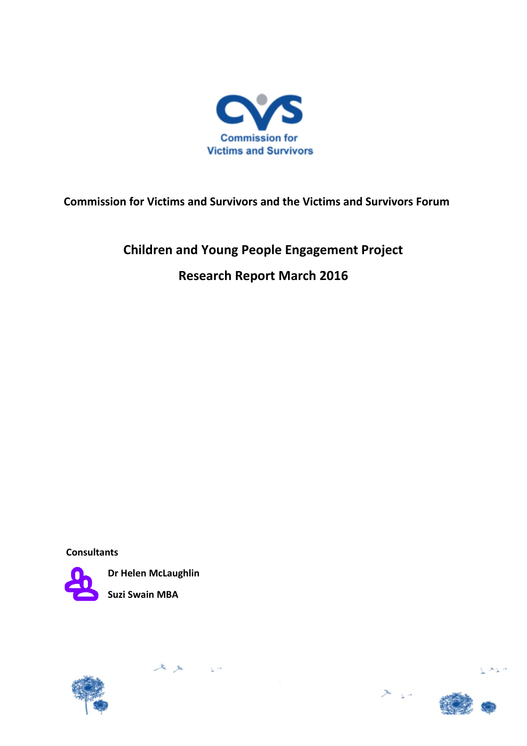

**Commission for Victims and Survivors and the Victims and Survivors Forum**

# **Children and Young People Engagement Project Research Report March 2016**

**Consultants**



**Dr Helen McLaughlin Suzi Swain MBA**

 $A \times 10^{-1}$ 





 $x_{\perp}$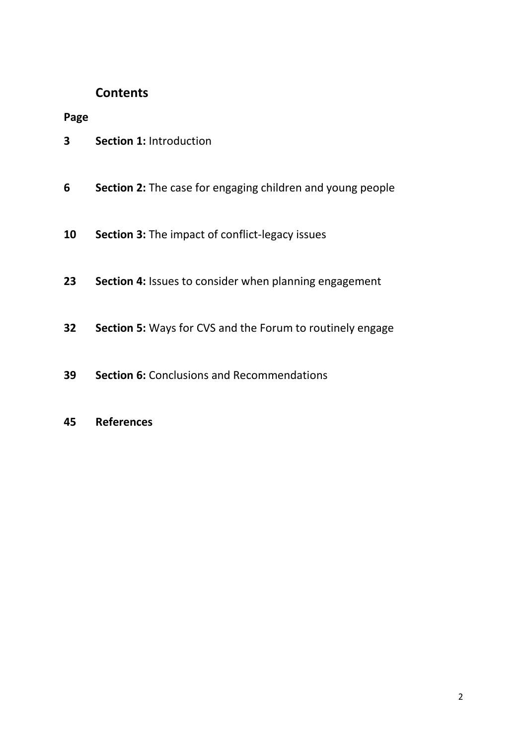# **Contents**

**Page**

- **Section 1:** Introduction
- **Section 2:** The case for engaging children and young people
- **Section 3:** The impact of conflict-legacy issues
- **Section 4:** Issues to consider when planning engagement
- **Section 5:** Ways for CVS and the Forum to routinely engage
- **Section 6:** Conclusions and Recommendations
- **References**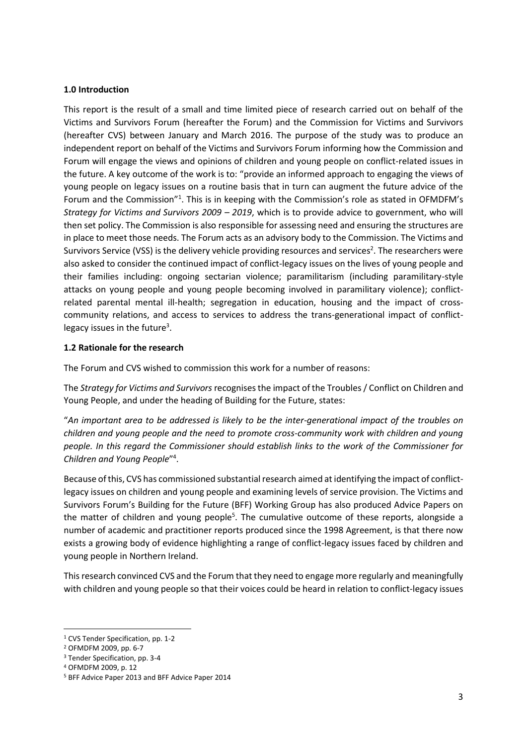#### **1.0 Introduction**

This report is the result of a small and time limited piece of research carried out on behalf of the Victims and Survivors Forum (hereafter the Forum) and the Commission for Victims and Survivors (hereafter CVS) between January and March 2016. The purpose of the study was to produce an independent report on behalf of the Victims and Survivors Forum informing how the Commission and Forum will engage the views and opinions of children and young people on conflict-related issues in the future. A key outcome of the work is to: "provide an informed approach to engaging the views of young people on legacy issues on a routine basis that in turn can augment the future advice of the Forum and the Commission"<sup>1</sup>. This is in keeping with the Commission's role as stated in OFMDFM's *Strategy for Victims and Survivors 2009 – 2019*, which is to provide advice to government, who will then set policy. The Commission is also responsible for assessing need and ensuring the structures are in place to meet those needs. The Forum acts as an advisory body to the Commission. The Victims and Survivors Service (VSS) is the delivery vehicle providing resources and services<sup>2</sup>. The researchers were also asked to consider the continued impact of conflict-legacy issues on the lives of young people and their families including: ongoing sectarian violence; paramilitarism (including paramilitary-style attacks on young people and young people becoming involved in paramilitary violence); conflictrelated parental mental ill-health; segregation in education, housing and the impact of crosscommunity relations, and access to services to address the trans-generational impact of conflictlegacy issues in the future<sup>3</sup>.

#### **1.2 Rationale for the research**

The Forum and CVS wished to commission this work for a number of reasons:

The *Strategy for Victims and Survivors* recognises the impact of the Troubles / Conflict on Children and Young People, and under the heading of Building for the Future, states:

"*An important area to be addressed is likely to be the inter-generational impact of the troubles on children and young people and the need to promote cross-community work with children and young people. In this regard the Commissioner should establish links to the work of the Commissioner for Children and Young People*" 4 .

Because of this, CVS has commissioned substantial research aimed at identifying the impact of conflictlegacy issues on children and young people and examining levels of service provision. The Victims and Survivors Forum's Building for the Future (BFF) Working Group has also produced Advice Papers on the matter of children and young people<sup>5</sup>. The cumulative outcome of these reports, alongside a number of academic and practitioner reports produced since the 1998 Agreement, is that there now exists a growing body of evidence highlighting a range of conflict-legacy issues faced by children and young people in Northern Ireland.

This research convinced CVS and the Forum that they need to engage more regularly and meaningfully with children and young people so that their voices could be heard in relation to conflict-legacy issues

<sup>1</sup> CVS Tender Specification, pp. 1-2

<sup>2</sup> OFMDFM 2009, pp. 6-7

<sup>3</sup> Tender Specification, pp. 3-4

<sup>4</sup> OFMDFM 2009, p. 12

<sup>5</sup> BFF Advice Paper 2013 and BFF Advice Paper 2014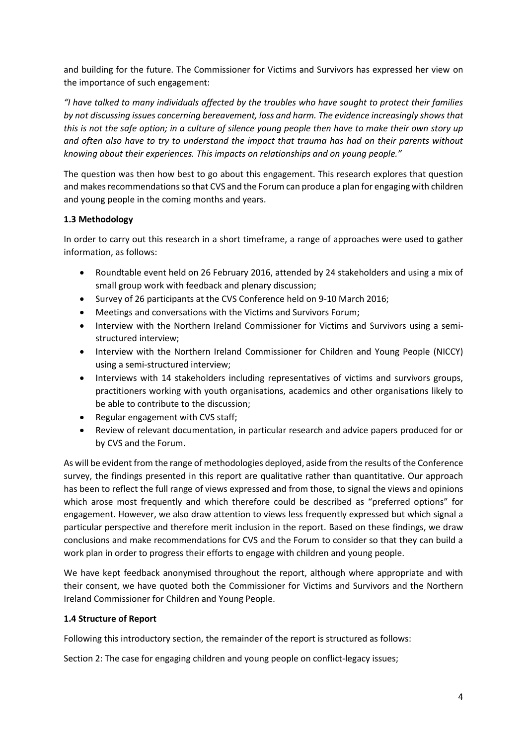and building for the future. The Commissioner for Victims and Survivors has expressed her view on the importance of such engagement:

*"I have talked to many individuals affected by the troubles who have sought to protect their families by not discussing issues concerning bereavement, loss and harm. The evidence increasingly shows that this is not the safe option; in a culture of silence young people then have to make their own story up and often also have to try to understand the impact that trauma has had on their parents without knowing about their experiences. This impacts on relationships and on young people."* 

The question was then how best to go about this engagement. This research explores that question and makes recommendations so that CVS and the Forum can produce a plan for engaging with children and young people in the coming months and years.

# **1.3 Methodology**

In order to carry out this research in a short timeframe, a range of approaches were used to gather information, as follows:

- Roundtable event held on 26 February 2016, attended by 24 stakeholders and using a mix of small group work with feedback and plenary discussion;
- Survey of 26 participants at the CVS Conference held on 9-10 March 2016;
- Meetings and conversations with the Victims and Survivors Forum;
- Interview with the Northern Ireland Commissioner for Victims and Survivors using a semistructured interview;
- Interview with the Northern Ireland Commissioner for Children and Young People (NICCY) using a semi-structured interview;
- Interviews with 14 stakeholders including representatives of victims and survivors groups, practitioners working with youth organisations, academics and other organisations likely to be able to contribute to the discussion;
- Regular engagement with CVS staff;
- Review of relevant documentation, in particular research and advice papers produced for or by CVS and the Forum.

As will be evident from the range of methodologies deployed, aside from the results of the Conference survey, the findings presented in this report are qualitative rather than quantitative. Our approach has been to reflect the full range of views expressed and from those, to signal the views and opinions which arose most frequently and which therefore could be described as "preferred options" for engagement. However, we also draw attention to views less frequently expressed but which signal a particular perspective and therefore merit inclusion in the report. Based on these findings, we draw conclusions and make recommendations for CVS and the Forum to consider so that they can build a work plan in order to progress their efforts to engage with children and young people.

We have kept feedback anonymised throughout the report, although where appropriate and with their consent, we have quoted both the Commissioner for Victims and Survivors and the Northern Ireland Commissioner for Children and Young People.

# **1.4 Structure of Report**

Following this introductory section, the remainder of the report is structured as follows:

Section 2: The case for engaging children and young people on conflict-legacy issues;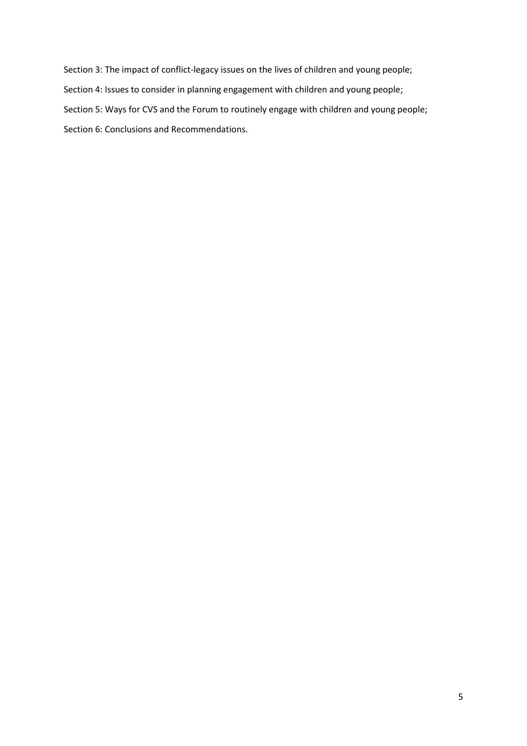Section 3: The impact of conflict-legacy issues on the lives of children and young people; Section 4: Issues to consider in planning engagement with children and young people; Section 5: Ways for CVS and the Forum to routinely engage with children and young people; Section 6: Conclusions and Recommendations.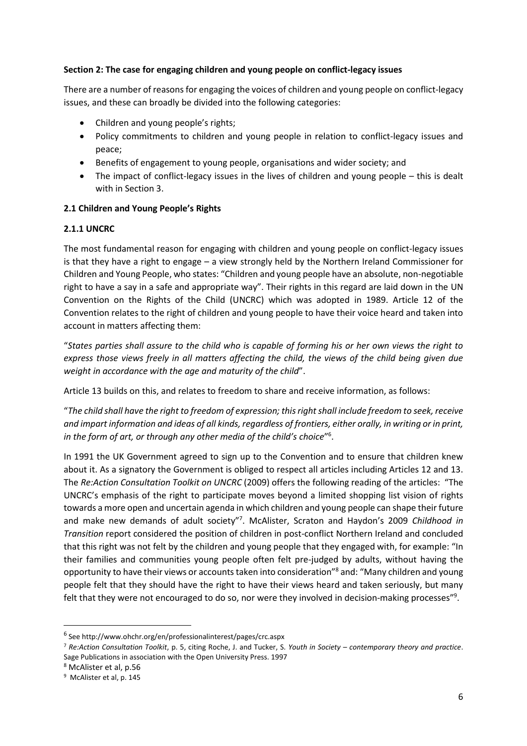#### **Section 2: The case for engaging children and young people on conflict-legacy issues**

There are a number of reasons for engaging the voices of children and young people on conflict-legacy issues, and these can broadly be divided into the following categories:

- Children and young people's rights;
- Policy commitments to children and young people in relation to conflict-legacy issues and peace;
- Benefits of engagement to young people, organisations and wider society; and
- The impact of conflict-legacy issues in the lives of children and young people this is dealt with in Section 3.

#### **2.1 Children and Young People's Rights**

#### **2.1.1 UNCRC**

The most fundamental reason for engaging with children and young people on conflict-legacy issues is that they have a right to engage – a view strongly held by the Northern Ireland Commissioner for Children and Young People, who states: "Children and young people have an absolute, non-negotiable right to have a say in a safe and appropriate way". Their rights in this regard are laid down in the UN Convention on the Rights of the Child (UNCRC) which was adopted in 1989. Article 12 of the Convention relates to the right of children and young people to have their voice heard and taken into account in matters affecting them:

"*States parties shall assure to the child who is capable of forming his or her own views the right to express those views freely in all matters affecting the child, the views of the child being given due weight in accordance with the age and maturity of the child*".

Article 13 builds on this, and relates to freedom to share and receive information, as follows:

"*The child shall have the right to freedom of expression; this right shall include freedom to seek, receive and impart information and ideas of all kinds, regardless of frontiers, either orally, in writing or in print, in the form of art, or through any other media of the child's choice*" 6 .

In 1991 the UK Government agreed to sign up to the Convention and to ensure that children knew about it. As a signatory the Government is obliged to respect all articles including Articles 12 and 13. The *Re:Action Consultation Toolkit on UNCRC* (2009) offers the following reading of the articles: "The UNCRC's emphasis of the right to participate moves beyond a limited shopping list vision of rights towards a more open and uncertain agenda in which children and young people can shape their future and make new demands of adult society"<sup>7</sup>. McAlister, Scraton and Haydon's 2009 Childhood in *Transition* report considered the position of children in post-conflict Northern Ireland and concluded that this right was not felt by the children and young people that they engaged with, for example: "In their families and communities young people often felt pre-judged by adults, without having the opportunity to have their views or accounts taken into consideration"<sup>8</sup> and: "Many children and young people felt that they should have the right to have their views heard and taken seriously, but many felt that they were not encouraged to do so, nor were they involved in decision-making processes"<sup>9</sup>.

1

<sup>6</sup> See http://www.ohchr.org/en/professionalinterest/pages/crc.aspx

<sup>7</sup> *Re:Action Consultation Toolkit*, p. 5, citing Roche, J. and Tucker, S. *Youth in Society – contemporary theory and practice*. Sage Publications in association with the Open University Press. 1997

<sup>8</sup> McAlister et al, p.56

<sup>9</sup> McAlister et al, p. 145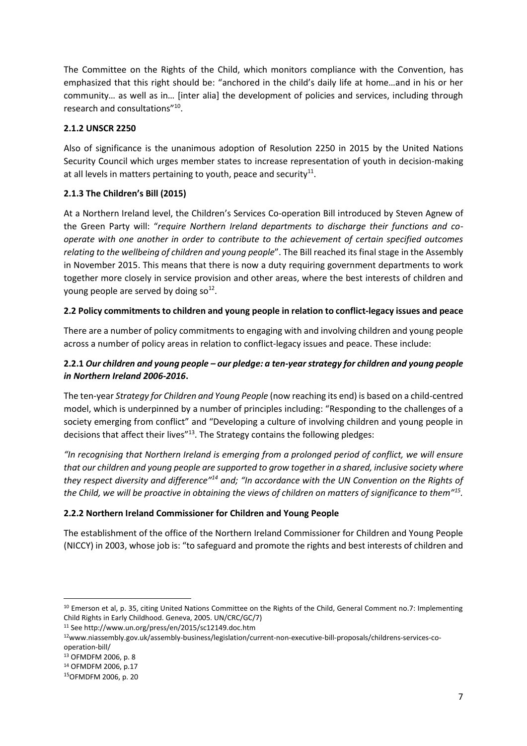The Committee on the Rights of the Child, which monitors compliance with the Convention, has emphasized that this right should be: "anchored in the child's daily life at home…and in his or her community… as well as in… [inter alia] the development of policies and services, including through research and consultations"<sup>10</sup>.

# **2.1.2 UNSCR 2250**

Also of significance is the unanimous adoption of Resolution 2250 in 2015 by the United Nations Security Council which urges member states to increase representation of youth in decision-making at all levels in matters pertaining to youth, peace and security<sup>11</sup>.

# **2.1.3 The Children's Bill (2015)**

At a Northern Ireland level, the Children's Services Co-operation Bill introduced by Steven Agnew of the Green Party will: "*require Northern Ireland departments to discharge their functions and cooperate with one another in order to contribute to the achievement of certain specified outcomes relating to the wellbeing of children and young people*". The Bill reached its final stage in the Assembly in November 2015. This means that there is now a duty requiring government departments to work together more closely in service provision and other areas, where the best interests of children and young people are served by doing so<sup>12</sup>.

#### **2.2 Policy commitments to children and young people in relation to conflict-legacy issues and peace**

There are a number of policy commitments to engaging with and involving children and young people across a number of policy areas in relation to conflict-legacy issues and peace. These include:

# **2.2.1** *Our children and young people – our pledge: a ten-year strategy for children and young people in Northern Ireland 2006-2016***.**

The ten-year *Strategy for Children and Young People* (now reaching its end) is based on a child-centred model, which is underpinned by a number of principles including: "Responding to the challenges of a society emerging from conflict" and "Developing a culture of involving children and young people in decisions that affect their lives"<sup>13</sup>. The Strategy contains the following pledges:

*"In recognising that Northern Ireland is emerging from a prolonged period of conflict, we will ensure that our children and young people are supported to grow together in a shared, inclusive society where they respect diversity and difference"<sup>14</sup> and; "In accordance with the UN Convention on the Rights of the Child, we will be proactive in obtaining the views of children on matters of significance to them"<sup>15</sup> .* 

#### **2.2.2 Northern Ireland Commissioner for Children and Young People**

The establishment of the office of the Northern Ireland Commissioner for Children and Young People (NICCY) in 2003, whose job is: "to safeguard and promote the rights and best interests of children and

 $\overline{a}$ 

<sup>&</sup>lt;sup>10</sup> Emerson et al, p. 35, citing United Nations Committee on the Rights of the Child, General Comment no.7: Implementing Child Rights in Early Childhood. Geneva, 2005. UN/CRC/GC/7)

<sup>11</sup> See http://www.un.org/press/en/2015/sc12149.doc.htm

<sup>12</sup>www.niassembly.gov.uk/assembly-business/legislation/current-non-executive-bill-proposals/childrens-services-cooperation-bill/

<sup>13</sup> OFMDFM 2006, p. 8

<sup>14</sup> OFMDFM 2006, p.17

<sup>15</sup>OFMDFM 2006, p. 20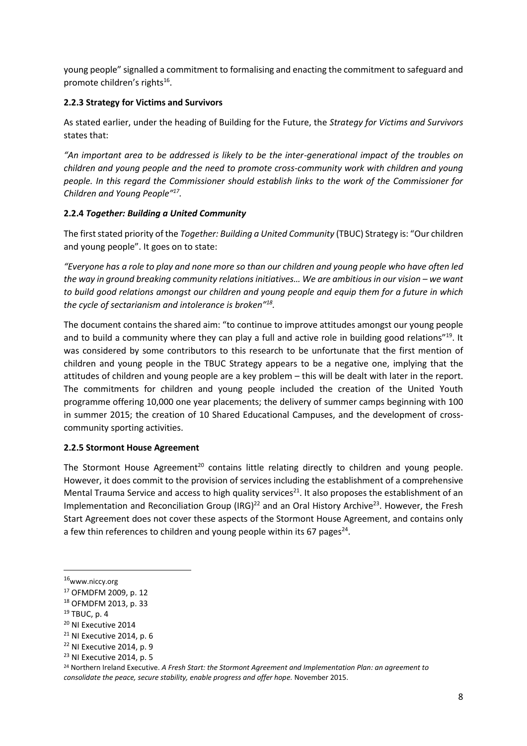young people" signalled a commitment to formalising and enacting the commitment to safeguard and promote children's rights<sup>16</sup>.

# **2.2.3 Strategy for Victims and Survivors**

As stated earlier, under the heading of Building for the Future, the *Strategy for Victims and Survivors* states that:

*"An important area to be addressed is likely to be the inter-generational impact of the troubles on children and young people and the need to promote cross-community work with children and young people. In this regard the Commissioner should establish links to the work of the Commissioner for Children and Young People"<sup>17</sup> .*

# **2.2.4** *Together: Building a United Community*

The first stated priority of the *Together: Building a United Community* (TBUC) Strategy is: "Our children and young people". It goes on to state:

*"Everyone has a role to play and none more so than our children and young people who have often led the way in ground breaking community relations initiatives… We are ambitious in our vision – we want to build good relations amongst our children and young people and equip them for a future in which the cycle of sectarianism and intolerance is broken"<sup>18</sup> .*

The document contains the shared aim: "to continue to improve attitudes amongst our young people and to build a community where they can play a full and active role in building good relations"<sup>19</sup>. It was considered by some contributors to this research to be unfortunate that the first mention of children and young people in the TBUC Strategy appears to be a negative one, implying that the attitudes of children and young people are a key problem – this will be dealt with later in the report. The commitments for children and young people included the creation of the United Youth programme offering 10,000 one year placements; the delivery of summer camps beginning with 100 in summer 2015; the creation of 10 Shared Educational Campuses, and the development of crosscommunity sporting activities.

# **2.2.5 Stormont House Agreement**

The Stormont House Agreement<sup>20</sup> contains little relating directly to children and young people. However, it does commit to the provision of services including the establishment of a comprehensive Mental Trauma Service and access to high quality services<sup>21</sup>. It also proposes the establishment of an Implementation and Reconciliation Group (IRG)<sup>22</sup> and an Oral History Archive<sup>23</sup>. However, the Fresh Start Agreement does not cover these aspects of the Stormont House Agreement, and contains only a few thin references to children and young people within its 67 pages $^{24}$ .

<sup>16</sup>www.niccy.org

<sup>17</sup> OFMDFM 2009, p. 12

<sup>18</sup> OFMDFM 2013, p. 33

 $19$  TBUC, p. 4

<sup>&</sup>lt;sup>20</sup> NI Executive 2014

<sup>&</sup>lt;sup>21</sup> NI Executive 2014, p. 6

<sup>&</sup>lt;sup>22</sup> NI Executive 2014, p. 9

<sup>23</sup> NI Executive 2014, p. 5

<sup>24</sup> Northern Ireland Executive. *A Fresh Start: the Stormont Agreement and Implementation Plan: an agreement to consolidate the peace, secure stability, enable progress and offer hope.* November 2015.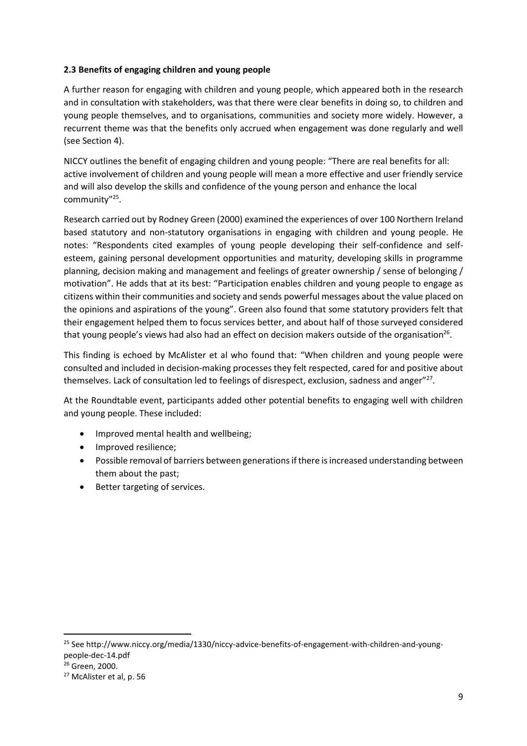# **2.3 Benefits of engaging children and young people**

A further reason for engaging with children and young people, which appeared both in the research and in consultation with stakeholders, was that there were clear benefits in doing so, to children and young people themselves, and to organisations, communities and society more widely. However, a recurrent theme was that the benefits only accrued when engagement was done regularly and well (see Section 4).

NICCY outlines the benefit of engaging children and young people: "There are real benefits for all: active involvement of children and young people will mean a more effective and user friendly service and will also develop the skills and confidence of the young person and enhance the local community"<sup>25</sup> .

Research carried out by Rodney Green (2000) examined the experiences of over 100 Northern Ireland based statutory and non-statutory organisations in engaging with children and young people. He notes: "Respondents cited examples of young people developing their self-confidence and selfesteem, gaining personal development opportunities and maturity, developing skills in programme planning, decision making and management and feelings of greater ownership / sense of belonging / motivation". He adds that at its best: "Participation enables children and young people to engage as citizens within their communities and society and sends powerful messages about the value placed on the opinions and aspirations of the young". Green also found that some statutory providers felt that their engagement helped them to focus services better, and about half of those surveyed considered that young people's views had also had an effect on decision makers outside of the organisation<sup>26</sup>.

This finding is echoed by McAlister et al who found that: "When children and young people were consulted and included in decision-making processes they felt respected, cared for and positive about themselves. Lack of consultation led to feelings of disrespect, exclusion, sadness and anger"<sup>27</sup>.

At the Roundtable event, participants added other potential benefits to engaging well with children and young people. These included:

- Improved mental health and wellbeing;
- Improved resilience;
- Possible removal of barriers between generations if there is increased understanding between them about the past;
- Better targeting of services.

<sup>&</sup>lt;sup>25</sup> See http://www.niccy.org/media/1330/niccy-advice-benefits-of-engagement-with-children-and-youngpeople-dec-14.pdf

<sup>26</sup> Green, 2000.

<sup>27</sup> McAlister et al, p. 56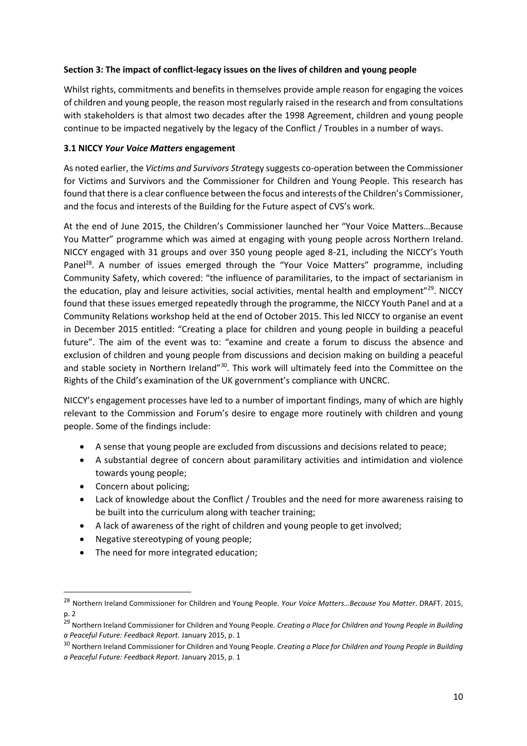#### **Section 3: The impact of conflict-legacy issues on the lives of children and young people**

Whilst rights, commitments and benefits in themselves provide ample reason for engaging the voices of children and young people, the reason most regularly raised in the research and from consultations with stakeholders is that almost two decades after the 1998 Agreement, children and young people continue to be impacted negatively by the legacy of the Conflict / Troubles in a number of ways.

#### **3.1 NICCY** *Your Voice Matters* **engagement**

As noted earlier, the *Victims and Survivors Stra*tegy suggests co-operation between the Commissioner for Victims and Survivors and the Commissioner for Children and Young People. This research has found that there is a clear confluence between the focus and interests of the Children's Commissioner, and the focus and interests of the Building for the Future aspect of CVS's work.

At the end of June 2015, the Children's Commissioner launched her "Your Voice Matters…Because You Matter" programme which was aimed at engaging with young people across Northern Ireland. NICCY engaged with 31 groups and over 350 young people aged 8-21, including the NICCY's Youth Panel<sup>28</sup>. A number of issues emerged through the "Your Voice Matters" programme, including Community Safety, which covered: "the influence of paramilitaries, to the impact of sectarianism in the education, play and leisure activities, social activities, mental health and employment"<sup>29</sup>. NICCY found that these issues emerged repeatedly through the programme, the NICCY Youth Panel and at a Community Relations workshop held at the end of October 2015. This led NICCY to organise an event in December 2015 entitled: "Creating a place for children and young people in building a peaceful future". The aim of the event was to: "examine and create a forum to discuss the absence and exclusion of children and young people from discussions and decision making on building a peaceful and stable society in Northern Ireland"<sup>30</sup>. This work will ultimately feed into the Committee on the Rights of the Child's examination of the UK government's compliance with UNCRC.

NICCY's engagement processes have led to a number of important findings, many of which are highly relevant to the Commission and Forum's desire to engage more routinely with children and young people. Some of the findings include:

- A sense that young people are excluded from discussions and decisions related to peace;
- A substantial degree of concern about paramilitary activities and intimidation and violence towards young people;
- Concern about policing;

- Lack of knowledge about the Conflict / Troubles and the need for more awareness raising to be built into the curriculum along with teacher training;
- A lack of awareness of the right of children and young people to get involved;
- Negative stereotyping of young people:
- The need for more integrated education;

<sup>28</sup> Northern Ireland Commissioner for Children and Young People. *Your Voice Matters…Because You Matter*. DRAFT. 2015, p. 2

<sup>29</sup> Northern Ireland Commissioner for Children and Young People. *Creating a Place for Children and Young People in Building a Peaceful Future: Feedback Report.* January 2015, p. 1

<sup>30</sup> Northern Ireland Commissioner for Children and Young People. *Creating a Place for Children and Young People in Building a Peaceful Future: Feedback Report.* January 2015, p. 1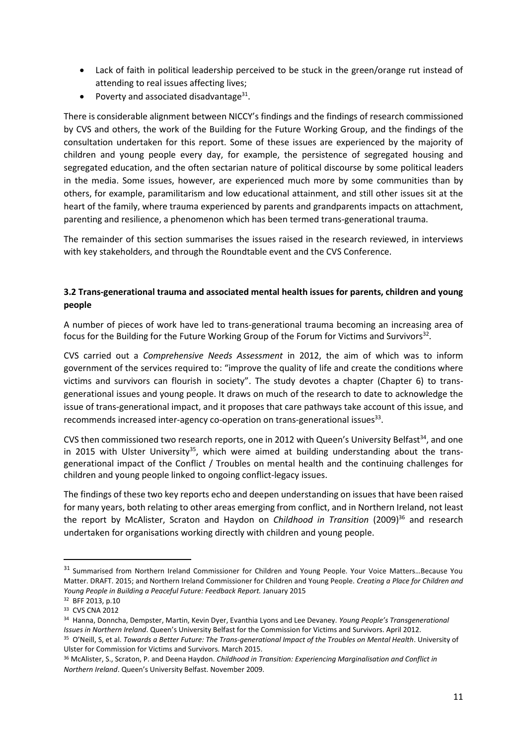- Lack of faith in political leadership perceived to be stuck in the green/orange rut instead of attending to real issues affecting lives;
- Poverty and associated disadvantage $^{31}$ .

There is considerable alignment between NICCY's findings and the findings of research commissioned by CVS and others, the work of the Building for the Future Working Group, and the findings of the consultation undertaken for this report. Some of these issues are experienced by the majority of children and young people every day, for example, the persistence of segregated housing and segregated education, and the often sectarian nature of political discourse by some political leaders in the media. Some issues, however, are experienced much more by some communities than by others, for example, paramilitarism and low educational attainment, and still other issues sit at the heart of the family, where trauma experienced by parents and grandparents impacts on attachment, parenting and resilience, a phenomenon which has been termed trans-generational trauma.

The remainder of this section summarises the issues raised in the research reviewed, in interviews with key stakeholders, and through the Roundtable event and the CVS Conference.

# **3.2 Trans-generational trauma and associated mental health issues for parents, children and young people**

A number of pieces of work have led to trans-generational trauma becoming an increasing area of focus for the Building for the Future Working Group of the Forum for Victims and Survivors<sup>32</sup>.

CVS carried out a *Comprehensive Needs Assessment* in 2012, the aim of which was to inform government of the services required to: "improve the quality of life and create the conditions where victims and survivors can flourish in society". The study devotes a chapter (Chapter 6) to transgenerational issues and young people. It draws on much of the research to date to acknowledge the issue of trans-generational impact, and it proposes that care pathways take account of this issue, and recommends increased inter-agency co-operation on trans-generational issues<sup>33</sup>.

CVS then commissioned two research reports, one in 2012 with Queen's University Belfast<sup>34</sup>, and one in 2015 with Ulster University<sup>35</sup>, which were aimed at building understanding about the transgenerational impact of the Conflict / Troubles on mental health and the continuing challenges for children and young people linked to ongoing conflict-legacy issues.

The findings of these two key reports echo and deepen understanding on issues that have been raised for many years, both relating to other areas emerging from conflict, and in Northern Ireland, not least the report by McAlister, Scraton and Haydon on *Childhood in Transition* (2009)<sup>36</sup> and research undertaken for organisations working directly with children and young people.

1

<sup>&</sup>lt;sup>31</sup> Summarised from Northern Ireland Commissioner for Children and Young People. Your Voice Matters...Because You Matter. DRAFT. 2015; and Northern Ireland Commissioner for Children and Young People. *Creating a Place for Children and Young People in Building a Peaceful Future: Feedback Report.* January 2015

<sup>32</sup> BFF 2013, p.10

<sup>33</sup> CVS CNA 2012

<sup>34</sup> Hanna, Donncha, Dempster, Martin, Kevin Dyer, Evanthia Lyons and Lee Devaney. *Young People's Transgenerational Issues in Northern Ireland*. Queen's University Belfast for the Commission for Victims and Survivors. April 2012. <sup>35</sup> O'Neill, S, et al. *Towards a Better Future: The Trans-generational Impact of the Troubles on Mental Health*. University of Ulster for Commission for Victims and Survivors. March 2015.

<sup>36</sup> McAlister, S., Scraton, P. and Deena Haydon. *Childhood in Transition: Experiencing Marginalisation and Conflict in Northern Ireland*. Queen's University Belfast. November 2009.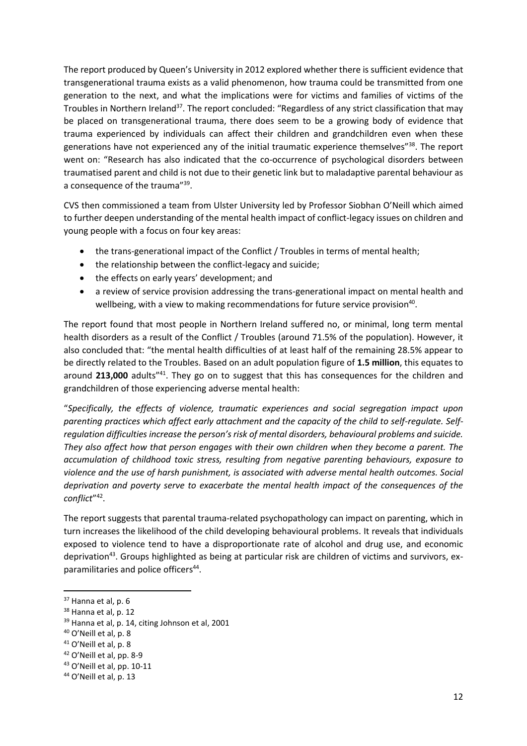The report produced by Queen's University in 2012 explored whether there is sufficient evidence that transgenerational trauma exists as a valid phenomenon, how trauma could be transmitted from one generation to the next, and what the implications were for victims and families of victims of the Troubles in Northern Ireland<sup>37</sup>. The report concluded: "Regardless of any strict classification that may be placed on transgenerational trauma, there does seem to be a growing body of evidence that trauma experienced by individuals can affect their children and grandchildren even when these generations have not experienced any of the initial traumatic experience themselves"<sup>38</sup>. The report went on: "Research has also indicated that the co-occurrence of psychological disorders between traumatised parent and child is not due to their genetic link but to maladaptive parental behaviour as a consequence of the trauma"<sup>39</sup>.

CVS then commissioned a team from Ulster University led by Professor Siobhan O'Neill which aimed to further deepen understanding of the mental health impact of conflict-legacy issues on children and young people with a focus on four key areas:

- the trans-generational impact of the Conflict / Troubles in terms of mental health;
- the relationship between the conflict-legacy and suicide;
- the effects on early years' development: and
- a review of service provision addressing the trans-generational impact on mental health and wellbeing, with a view to making recommendations for future service provision<sup>40</sup>.

The report found that most people in Northern Ireland suffered no, or minimal, long term mental health disorders as a result of the Conflict / Troubles (around 71.5% of the population). However, it also concluded that: "the mental health difficulties of at least half of the remaining 28.5% appear to be directly related to the Troubles. Based on an adult population figure of **1.5 million**, this equates to around **213,000** adults"<sup>41</sup>. They go on to suggest that this has consequences for the children and grandchildren of those experiencing adverse mental health:

"*Specifically, the effects of violence, traumatic experiences and social segregation impact upon parenting practices which affect early attachment and the capacity of the child to self-regulate. Selfregulation difficulties increase the person's risk of mental disorders, behavioural problems and suicide. They also affect how that person engages with their own children when they become a parent. The accumulation of childhood toxic stress, resulting from negative parenting behaviours, exposure to violence and the use of harsh punishment, is associated with adverse mental health outcomes. Social deprivation and poverty serve to exacerbate the mental health impact of the consequences of the conflict*" 42 .

The report suggests that parental trauma-related psychopathology can impact on parenting, which in turn increases the likelihood of the child developing behavioural problems. It reveals that individuals exposed to violence tend to have a disproportionate rate of alcohol and drug use, and economic deprivation<sup>43</sup>. Groups highlighted as being at particular risk are children of victims and survivors, exparamilitaries and police officers<sup>44</sup>.

<sup>37</sup> Hanna et al, p. 6

<sup>&</sup>lt;sup>38</sup> Hanna et al, p. 12

<sup>&</sup>lt;sup>39</sup> Hanna et al, p. 14, citing Johnson et al, 2001

 $40$  O'Neill et al, p. 8

<sup>41</sup> O'Neill et al, p. 8

<sup>42</sup> O'Neill et al, pp. 8-9

<sup>43</sup> O'Neill et al, pp. 10-11

<sup>44</sup> O'Neill et al, p. 13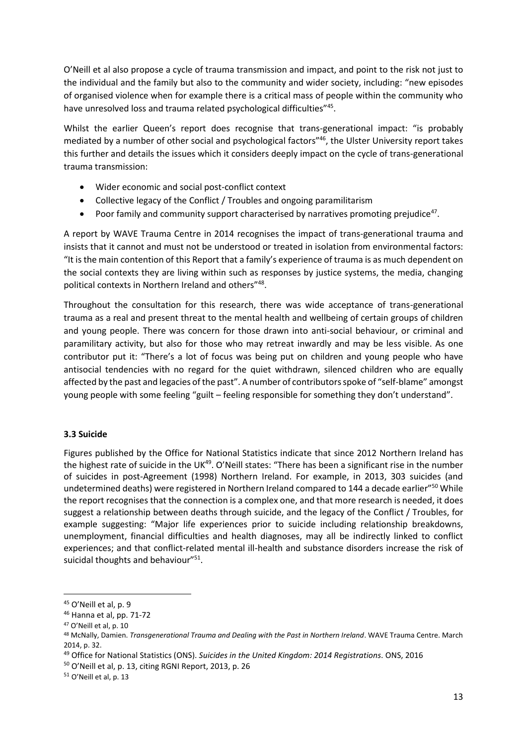O'Neill et al also propose a cycle of trauma transmission and impact, and point to the risk not just to the individual and the family but also to the community and wider society, including: "new episodes of organised violence when for example there is a critical mass of people within the community who have unresolved loss and trauma related psychological difficulties"<sup>45</sup>.

Whilst the earlier Queen's report does recognise that trans-generational impact: "is probably mediated by a number of other social and psychological factors"<sup>46</sup>, the Ulster University report takes this further and details the issues which it considers deeply impact on the cycle of trans-generational trauma transmission:

- Wider economic and social post-conflict context
- Collective legacy of the Conflict / Troubles and ongoing paramilitarism
- Poor family and community support characterised by narratives promoting prejudice<sup>47</sup>.

A report by WAVE Trauma Centre in 2014 recognises the impact of trans-generational trauma and insists that it cannot and must not be understood or treated in isolation from environmental factors: "It is the main contention of this Report that a family's experience of trauma is as much dependent on the social contexts they are living within such as responses by justice systems, the media, changing political contexts in Northern Ireland and others"<sup>48</sup>.

Throughout the consultation for this research, there was wide acceptance of trans-generational trauma as a real and present threat to the mental health and wellbeing of certain groups of children and young people. There was concern for those drawn into anti-social behaviour, or criminal and paramilitary activity, but also for those who may retreat inwardly and may be less visible. As one contributor put it: "There's a lot of focus was being put on children and young people who have antisocial tendencies with no regard for the quiet withdrawn, silenced children who are equally affected by the past and legacies of the past". A number of contributors spoke of "self-blame" amongst young people with some feeling "guilt – feeling responsible for something they don't understand".

# **3.3 Suicide**

Figures published by the Office for National Statistics indicate that since 2012 Northern Ireland has the highest rate of suicide in the UK<sup>49</sup>. O'Neill states: "There has been a significant rise in the number of suicides in post-Agreement (1998) Northern Ireland. For example, in 2013, 303 suicides (and undetermined deaths) were registered in Northern Ireland compared to 144 a decade earlier"<sup>50</sup> While the report recognises that the connection is a complex one, and that more research is needed, it does suggest a relationship between deaths through suicide, and the legacy of the Conflict / Troubles, for example suggesting: "Major life experiences prior to suicide including relationship breakdowns, unemployment, financial difficulties and health diagnoses, may all be indirectly linked to conflict experiences; and that conflict-related mental ill-health and substance disorders increase the risk of suicidal thoughts and behaviour"<sup>51</sup>.

<sup>45</sup> O'Neill et al, p. 9

<sup>46</sup> Hanna et al, pp. 71-72

<sup>47</sup> O'Neill et al, p. 10

<sup>48</sup> McNally, Damien. *Transgenerational Trauma and Dealing with the Past in Northern Ireland*. WAVE Trauma Centre. March 2014, p. 32.

<sup>49</sup> Office for National Statistics (ONS). *Suicides in the United Kingdom: 2014 Registrations*. ONS, 2016

<sup>50</sup> O'Neill et al, p. 13, citing RGNI Report, 2013, p. 26

<sup>51</sup> O'Neill et al, p. 13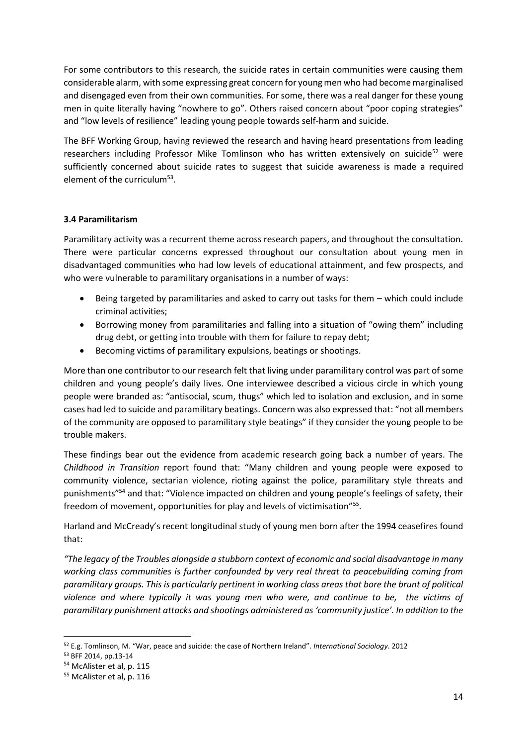For some contributors to this research, the suicide rates in certain communities were causing them considerable alarm, with some expressing great concern for young men who had become marginalised and disengaged even from their own communities. For some, there was a real danger for these young men in quite literally having "nowhere to go". Others raised concern about "poor coping strategies" and "low levels of resilience" leading young people towards self-harm and suicide.

The BFF Working Group, having reviewed the research and having heard presentations from leading researchers including Professor Mike Tomlinson who has written extensively on suicide<sup>52</sup> were sufficiently concerned about suicide rates to suggest that suicide awareness is made a required element of the curriculum<sup>53</sup>.

#### **3.4 Paramilitarism**

Paramilitary activity was a recurrent theme across research papers, and throughout the consultation. There were particular concerns expressed throughout our consultation about young men in disadvantaged communities who had low levels of educational attainment, and few prospects, and who were vulnerable to paramilitary organisations in a number of ways:

- Being targeted by paramilitaries and asked to carry out tasks for them which could include criminal activities;
- Borrowing money from paramilitaries and falling into a situation of "owing them" including drug debt, or getting into trouble with them for failure to repay debt;
- Becoming victims of paramilitary expulsions, beatings or shootings.

More than one contributor to our research felt that living under paramilitary control was part of some children and young people's daily lives. One interviewee described a vicious circle in which young people were branded as: "antisocial, scum, thugs" which led to isolation and exclusion, and in some cases had led to suicide and paramilitary beatings. Concern was also expressed that: "not all members of the community are opposed to paramilitary style beatings" if they consider the young people to be trouble makers.

These findings bear out the evidence from academic research going back a number of years. The *Childhood in Transition* report found that: "Many children and young people were exposed to community violence, sectarian violence, rioting against the police, paramilitary style threats and punishments"<sup>54</sup> and that: "Violence impacted on children and young people's feelings of safety, their freedom of movement, opportunities for play and levels of victimisation"<sup>55</sup>.

Harland and McCready's recent longitudinal study of young men born after the 1994 ceasefires found that:

*"The legacy of the Troubles alongside a stubborn context of economic and social disadvantage in many working class communities is further confounded by very real threat to peacebuilding coming from paramilitary groups. This is particularly pertinent in working class areas that bore the brunt of political violence and where typically it was young men who were, and continue to be, the victims of paramilitary punishment attacks and shootings administered as 'community justice'. In addition to the* 

 $\overline{a}$ 

<sup>52</sup> E.g. Tomlinson, M. "War, peace and suicide: the case of Northern Ireland". *International Sociology*. 2012

<sup>53</sup> BFF 2014, pp.13-14

<sup>54</sup> McAlister et al, p. 115

<sup>55</sup> McAlister et al, p. 116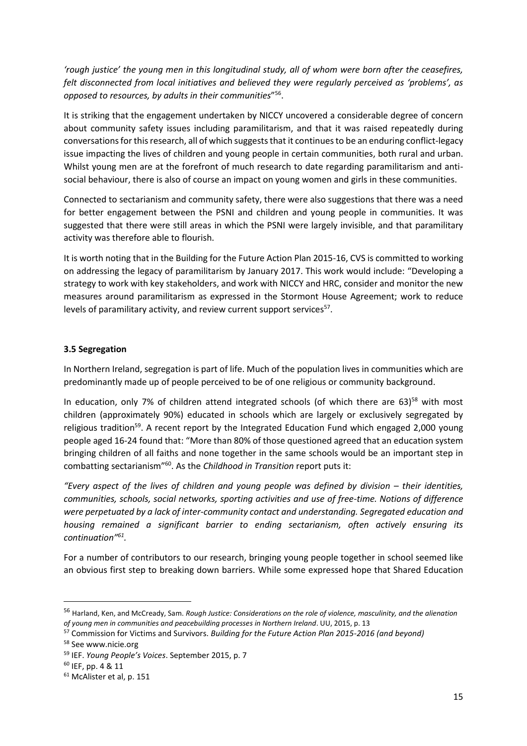*'rough justice' the young men in this longitudinal study, all of whom were born after the ceasefires, felt disconnected from local initiatives and believed they were regularly perceived as 'problems', as opposed to resources, by adults in their communities*" 56 .

It is striking that the engagement undertaken by NICCY uncovered a considerable degree of concern about community safety issues including paramilitarism, and that it was raised repeatedly during conversations for this research, all of which suggests that it continues to be an enduring conflict-legacy issue impacting the lives of children and young people in certain communities, both rural and urban. Whilst young men are at the forefront of much research to date regarding paramilitarism and antisocial behaviour, there is also of course an impact on young women and girls in these communities.

Connected to sectarianism and community safety, there were also suggestions that there was a need for better engagement between the PSNI and children and young people in communities. It was suggested that there were still areas in which the PSNI were largely invisible, and that paramilitary activity was therefore able to flourish.

It is worth noting that in the Building for the Future Action Plan 2015-16, CVS is committed to working on addressing the legacy of paramilitarism by January 2017. This work would include: "Developing a strategy to work with key stakeholders, and work with NICCY and HRC, consider and monitor the new measures around paramilitarism as expressed in the Stormont House Agreement; work to reduce levels of paramilitary activity, and review current support services<sup>57</sup>.

#### **3.5 Segregation**

In Northern Ireland, segregation is part of life. Much of the population lives in communities which are predominantly made up of people perceived to be of one religious or community background.

In education, only 7% of children attend integrated schools (of which there are 63)<sup>58</sup> with most children (approximately 90%) educated in schools which are largely or exclusively segregated by religious tradition<sup>59</sup>. A recent report by the Integrated Education Fund which engaged 2,000 young people aged 16-24 found that: "More than 80% of those questioned agreed that an education system bringing children of all faiths and none together in the same schools would be an important step in combatting sectarianism<sup>"60</sup>. As the *Childhood in Transition* report puts it:

*"Every aspect of the lives of children and young people was defined by division – their identities, communities, schools, social networks, sporting activities and use of free-time. Notions of difference were perpetuated by a lack of inter-community contact and understanding. Segregated education and housing remained a significant barrier to ending sectarianism, often actively ensuring its continuation"<sup>61</sup> .* 

For a number of contributors to our research, bringing young people together in school seemed like an obvious first step to breaking down barriers. While some expressed hope that Shared Education

 $\overline{a}$ 

<sup>56</sup> Harland, Ken, and McCready, Sam. *Rough Justice: Considerations on the role of violence, masculinity, and the alienation of young men in communities and peacebuilding processes in Northern Ireland*. UU, 2015, p. 13

<sup>57</sup> Commission for Victims and Survivors. *Building for the Future Action Plan 2015-2016 (and beyond)*

<sup>58</sup> See www.nicie.org

<sup>59</sup> IEF. *Young People's Voices*. September 2015, p. 7

<sup>60</sup> IEF, pp. 4 & 11

<sup>61</sup> McAlister et al, p. 151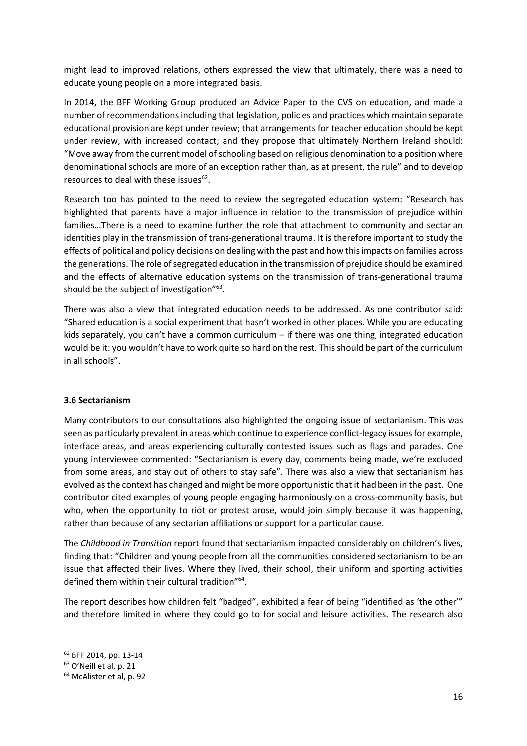might lead to improved relations, others expressed the view that ultimately, there was a need to educate young people on a more integrated basis.

In 2014, the BFF Working Group produced an Advice Paper to the CVS on education, and made a number of recommendations including that legislation, policies and practices which maintain separate educational provision are kept under review; that arrangements for teacher education should be kept under review, with increased contact; and they propose that ultimately Northern Ireland should: "Move away from the current model of schooling based on religious denomination to a position where denominational schools are more of an exception rather than, as at present, the rule" and to develop resources to deal with these issues $62$ .

Research too has pointed to the need to review the segregated education system: "Research has highlighted that parents have a major influence in relation to the transmission of prejudice within families…There is a need to examine further the role that attachment to community and sectarian identities play in the transmission of trans-generational trauma. It is therefore important to study the effects of political and policy decisions on dealing with the past and how this impacts on families across the generations. The role of segregated education in the transmission of prejudice should be examined and the effects of alternative education systems on the transmission of trans-generational trauma should be the subject of investigation"<sup>63</sup>.

There was also a view that integrated education needs to be addressed. As one contributor said: "Shared education is a social experiment that hasn't worked in other places. While you are educating kids separately, you can't have a common curriculum – if there was one thing, integrated education would be it: you wouldn't have to work quite so hard on the rest. This should be part of the curriculum in all schools".

#### **3.6 Sectarianism**

Many contributors to our consultations also highlighted the ongoing issue of sectarianism. This was seen as particularly prevalent in areas which continue to experience conflict-legacy issues for example, interface areas, and areas experiencing culturally contested issues such as flags and parades. One young interviewee commented: "Sectarianism is every day, comments being made, we're excluded from some areas, and stay out of others to stay safe". There was also a view that sectarianism has evolved as the context has changed and might be more opportunistic that it had been in the past. One contributor cited examples of young people engaging harmoniously on a cross-community basis, but who, when the opportunity to riot or protest arose, would join simply because it was happening, rather than because of any sectarian affiliations or support for a particular cause.

The *Childhood in Transition* report found that sectarianism impacted considerably on children's lives, finding that: "Children and young people from all the communities considered sectarianism to be an issue that affected their lives. Where they lived, their school, their uniform and sporting activities defined them within their cultural tradition"<sup>64</sup>.

The report describes how children felt "badged", exhibited a fear of being "identified as 'the other'" and therefore limited in where they could go to for social and leisure activities. The research also

<sup>62</sup> BFF 2014, pp. 13-14

<sup>63</sup> O'Neill et al, p. 21

<sup>64</sup> McAlister et al, p. 92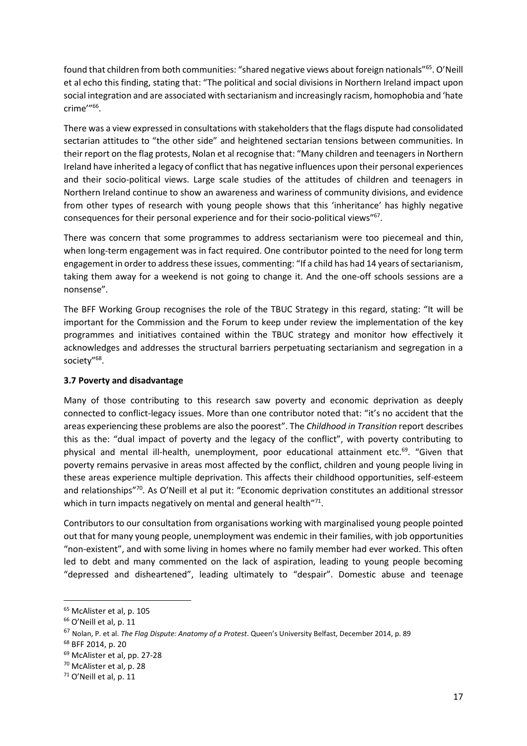found that children from both communities: "shared negative views about foreign nationals"<sup>65</sup>. O'Neill et al echo this finding, stating that: "The political and social divisions in Northern Ireland impact upon social integration and are associated with sectarianism and increasingly racism, homophobia and 'hate crime'"<sup>66</sup> .

There was a view expressed in consultations with stakeholders that the flags dispute had consolidated sectarian attitudes to "the other side" and heightened sectarian tensions between communities. In their report on the flag protests, Nolan et al recognise that: "Many children and teenagers in Northern Ireland have inherited a legacy of conflict that has negative influences upon their personal experiences and their socio-political views. Large scale studies of the attitudes of children and teenagers in Northern Ireland continue to show an awareness and wariness of community divisions, and evidence from other types of research with young people shows that this 'inheritance' has highly negative consequences for their personal experience and for their socio-political views"<sup>67</sup>.

There was concern that some programmes to address sectarianism were too piecemeal and thin, when long-term engagement was in fact required. One contributor pointed to the need for long term engagement in order to address these issues, commenting: "If a child has had 14 years of sectarianism, taking them away for a weekend is not going to change it. And the one-off schools sessions are a nonsense".

The BFF Working Group recognises the role of the TBUC Strategy in this regard, stating: "It will be important for the Commission and the Forum to keep under review the implementation of the key programmes and initiatives contained within the TBUC strategy and monitor how effectively it acknowledges and addresses the structural barriers perpetuating sectarianism and segregation in a society"<sup>68</sup>.

# **3.7 Poverty and disadvantage**

Many of those contributing to this research saw poverty and economic deprivation as deeply connected to conflict-legacy issues. More than one contributor noted that: "it's no accident that the areas experiencing these problems are also the poorest". The *Childhood in Transition* report describes this as the: "dual impact of poverty and the legacy of the conflict", with poverty contributing to physical and mental ill-health, unemployment, poor educational attainment etc.<sup>69</sup>. "Given that poverty remains pervasive in areas most affected by the conflict, children and young people living in these areas experience multiple deprivation. This affects their childhood opportunities, self-esteem and relationships"<sup>70</sup>. As O'Neill et al put it: "Economic deprivation constitutes an additional stressor which in turn impacts negatively on mental and general health"71.

Contributors to our consultation from organisations working with marginalised young people pointed out that for many young people, unemployment was endemic in their families, with job opportunities "non-existent", and with some living in homes where no family member had ever worked. This often led to debt and many commented on the lack of aspiration, leading to young people becoming "depressed and disheartened", leading ultimately to "despair". Domestic abuse and teenage

1

<sup>65</sup> McAlister et al, p. 105

<sup>&</sup>lt;sup>66</sup> O'Neill et al, p. 11

<sup>67</sup> Nolan, P. et al. *The Flag Dispute: Anatomy of a Protest*. Queen's University Belfast, December 2014, p. 89

<sup>68</sup> BFF 2014, p. 20

<sup>69</sup> McAlister et al, pp. 27-28

<sup>70</sup> McAlister et al, p. 28

<sup>71</sup> O'Neill et al, p. 11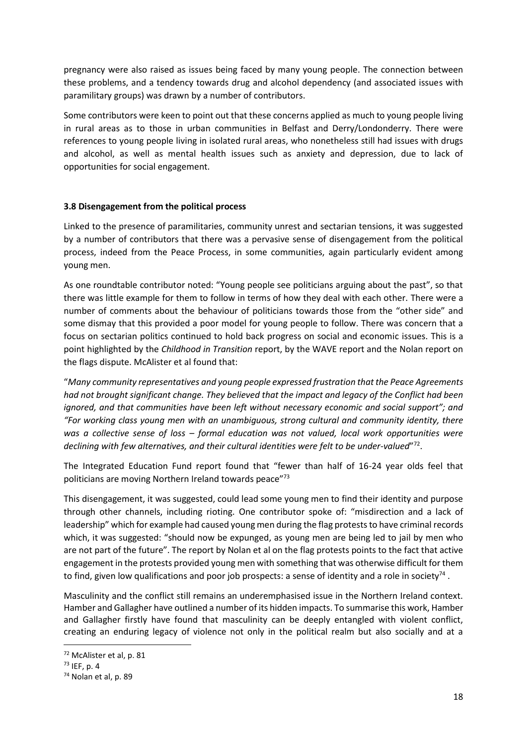pregnancy were also raised as issues being faced by many young people. The connection between these problems, and a tendency towards drug and alcohol dependency (and associated issues with paramilitary groups) was drawn by a number of contributors.

Some contributors were keen to point out that these concerns applied as much to young people living in rural areas as to those in urban communities in Belfast and Derry/Londonderry. There were references to young people living in isolated rural areas, who nonetheless still had issues with drugs and alcohol, as well as mental health issues such as anxiety and depression, due to lack of opportunities for social engagement.

#### **3.8 Disengagement from the political process**

Linked to the presence of paramilitaries, community unrest and sectarian tensions, it was suggested by a number of contributors that there was a pervasive sense of disengagement from the political process, indeed from the Peace Process, in some communities, again particularly evident among young men.

As one roundtable contributor noted: "Young people see politicians arguing about the past", so that there was little example for them to follow in terms of how they deal with each other. There were a number of comments about the behaviour of politicians towards those from the "other side" and some dismay that this provided a poor model for young people to follow. There was concern that a focus on sectarian politics continued to hold back progress on social and economic issues. This is a point highlighted by the *Childhood in Transition* report, by the WAVE report and the Nolan report on the flags dispute. McAlister et al found that:

"*Many community representatives and young people expressed frustration that the Peace Agreements had not brought significant change. They believed that the impact and legacy of the Conflict had been ignored, and that communities have been left without necessary economic and social support"; and "For working class young men with an unambiguous, strong cultural and community identity, there was a collective sense of loss – formal education was not valued, local work opportunities were*  declining with few alternatives, and their cultural identities were felt to be under-valued"<sup>72</sup>.

The Integrated Education Fund report found that "fewer than half of 16-24 year olds feel that politicians are moving Northern Ireland towards peace"73

This disengagement, it was suggested, could lead some young men to find their identity and purpose through other channels, including rioting. One contributor spoke of: "misdirection and a lack of leadership" which for example had caused young men during the flag protests to have criminal records which, it was suggested: "should now be expunged, as young men are being led to jail by men who are not part of the future". The report by Nolan et al on the flag protests points to the fact that active engagement in the protests provided young men with something that was otherwise difficult for them to find, given low qualifications and poor job prospects: a sense of identity and a role in society<sup>74</sup>.

Masculinity and the conflict still remains an underemphasised issue in the Northern Ireland context. Hamber and Gallagher have outlined a number of its hidden impacts. To summarise this work, Hamber and Gallagher firstly have found that masculinity can be deeply entangled with violent conflict, creating an enduring legacy of violence not only in the political realm but also socially and at a

<sup>72</sup> McAlister et al, p. 81

<sup>73</sup> IEF, p. 4

<sup>74</sup> Nolan et al, p. 89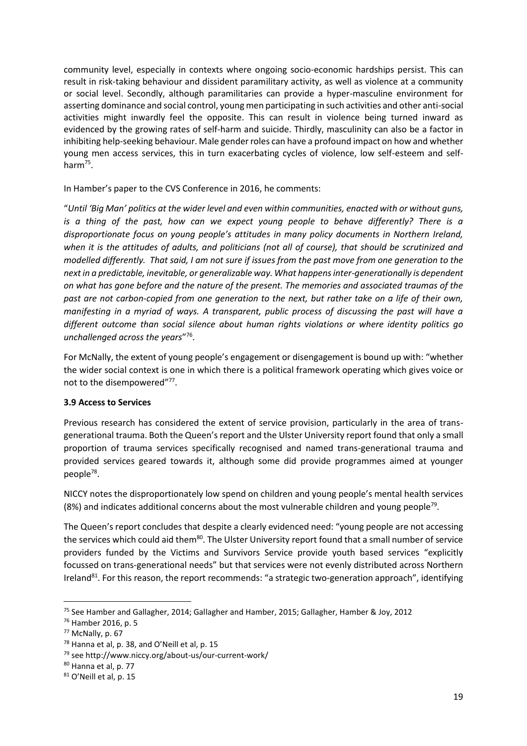community level, especially in contexts where ongoing socio-economic hardships persist. This can result in risk-taking behaviour and dissident paramilitary activity, as well as violence at a community or social level. Secondly, although paramilitaries can provide a hyper-masculine environment for asserting dominance and social control, young men participating in such activities and other anti-social activities might inwardly feel the opposite. This can result in violence being turned inward as evidenced by the growing rates of self-harm and suicide. Thirdly, masculinity can also be a factor in inhibiting help-seeking behaviour. Male gender roles can have a profound impact on how and whether young men access services, this in turn exacerbating cycles of violence, low self-esteem and selfharm<sup>75</sup>.

In Hamber's paper to the CVS Conference in 2016, he comments:

"*Until 'Big Man' politics at the wider level and even within communities, enacted with or without guns, is a thing of the past, how can we expect young people to behave differently? There is a disproportionate focus on young people's attitudes in many policy documents in Northern Ireland, when it is the attitudes of adults, and politicians (not all of course), that should be scrutinized and modelled differently. That said, I am not sure if issues from the past move from one generation to the next in a predictable, inevitable, or generalizable way. What happens inter-generationally is dependent on what has gone before and the nature of the present. The memories and associated traumas of the past are not carbon-copied from one generation to the next, but rather take on a life of their own, manifesting in a myriad of ways. A transparent, public process of discussing the past will have a different outcome than social silence about human rights violations or where identity politics go unchallenged across the years*" 76 .

For McNally, the extent of young people's engagement or disengagement is bound up with: "whether the wider social context is one in which there is a political framework operating which gives voice or not to the disempowered"77.

# **3.9 Access to Services**

Previous research has considered the extent of service provision, particularly in the area of transgenerational trauma. Both the Queen's report and the Ulster University report found that only a small proportion of trauma services specifically recognised and named trans-generational trauma and provided services geared towards it, although some did provide programmes aimed at younger people<sup>78</sup>.

NICCY notes the disproportionately low spend on children and young people's mental health services  $(8%)$  and indicates additional concerns about the most vulnerable children and young people<sup>79</sup>.

The Queen's report concludes that despite a clearly evidenced need: "young people are not accessing the services which could aid them<sup>80</sup>. The Ulster University report found that a small number of service providers funded by the Victims and Survivors Service provide youth based services "explicitly focussed on trans-generational needs" but that services were not evenly distributed across Northern Ireland<sup>81</sup>. For this reason, the report recommends: "a strategic two-generation approach", identifying

 $\overline{a}$ 

<sup>&</sup>lt;sup>75</sup> See Hamber and Gallagher, 2014; Gallagher and Hamber, 2015; Gallagher, Hamber & Joy, 2012

<sup>76</sup> Hamber 2016, p. 5

<sup>77</sup> McNally, p. 67

<sup>78</sup> Hanna et al, p. 38, and O'Neill et al, p. 15

<sup>79</sup> see http://www.niccy.org/about-us/our-current-work/

<sup>80</sup> Hanna et al, p. 77

<sup>81</sup> O'Neill et al, p. 15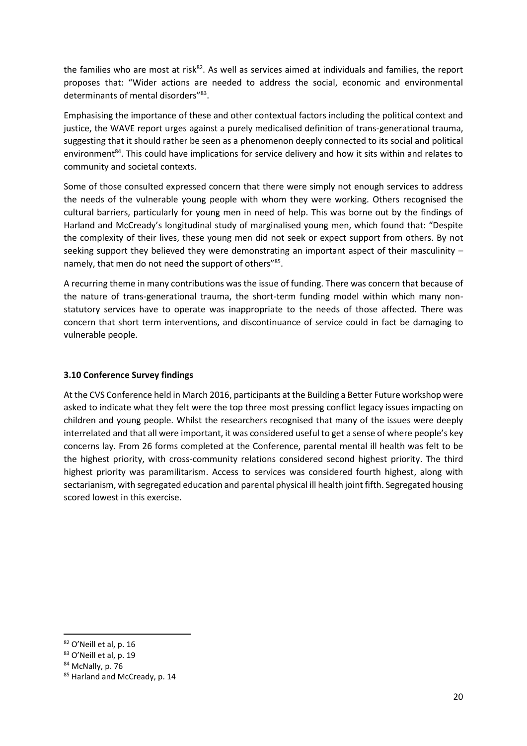the families who are most at risk<sup>82</sup>. As well as services aimed at individuals and families, the report proposes that: "Wider actions are needed to address the social, economic and environmental determinants of mental disorders"<sup>83</sup>.

Emphasising the importance of these and other contextual factors including the political context and justice, the WAVE report urges against a purely medicalised definition of trans-generational trauma, suggesting that it should rather be seen as a phenomenon deeply connected to its social and political environment<sup>84</sup>. This could have implications for service delivery and how it sits within and relates to community and societal contexts.

Some of those consulted expressed concern that there were simply not enough services to address the needs of the vulnerable young people with whom they were working. Others recognised the cultural barriers, particularly for young men in need of help. This was borne out by the findings of Harland and McCready's longitudinal study of marginalised young men, which found that: "Despite the complexity of their lives, these young men did not seek or expect support from others. By not seeking support they believed they were demonstrating an important aspect of their masculinity  $$ namely, that men do not need the support of others"<sup>85</sup>.

A recurring theme in many contributions was the issue of funding. There was concern that because of the nature of trans-generational trauma, the short-term funding model within which many nonstatutory services have to operate was inappropriate to the needs of those affected. There was concern that short term interventions, and discontinuance of service could in fact be damaging to vulnerable people.

#### **3.10 Conference Survey findings**

At the CVS Conference held in March 2016, participants at the Building a Better Future workshop were asked to indicate what they felt were the top three most pressing conflict legacy issues impacting on children and young people. Whilst the researchers recognised that many of the issues were deeply interrelated and that all were important, it was considered useful to get a sense of where people's key concerns lay. From 26 forms completed at the Conference, parental mental ill health was felt to be the highest priority, with cross-community relations considered second highest priority. The third highest priority was paramilitarism. Access to services was considered fourth highest, along with sectarianism, with segregated education and parental physical ill health joint fifth. Segregated housing scored lowest in this exercise.

<sup>82</sup> O'Neill et al, p. 16

<sup>83</sup> O'Neill et al, p. 19

<sup>84</sup> McNally, p. 76

<sup>85</sup> Harland and McCready, p. 14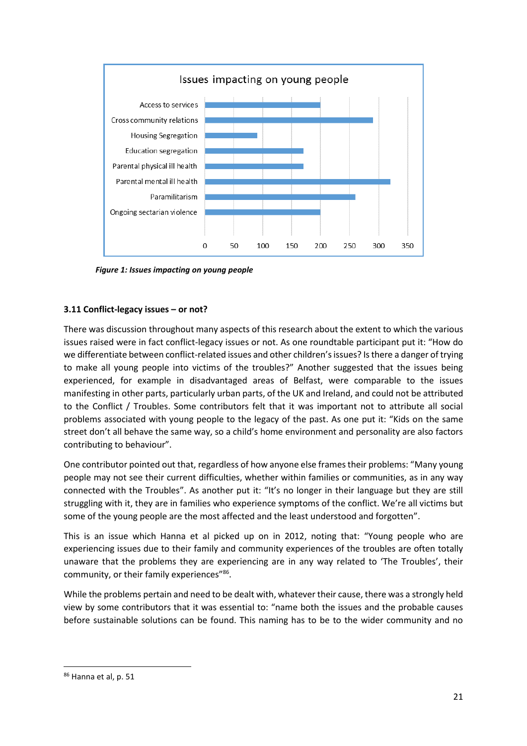

*Figure 1: Issues impacting on young people*

#### **3.11 Conflict-legacy issues – or not?**

There was discussion throughout many aspects of this research about the extent to which the various issues raised were in fact conflict-legacy issues or not. As one roundtable participant put it: "How do we differentiate between conflict-related issues and other children's issues? Is there a danger of trying to make all young people into victims of the troubles?" Another suggested that the issues being experienced, for example in disadvantaged areas of Belfast, were comparable to the issues manifesting in other parts, particularly urban parts, of the UK and Ireland, and could not be attributed to the Conflict / Troubles. Some contributors felt that it was important not to attribute all social problems associated with young people to the legacy of the past. As one put it: "Kids on the same street don't all behave the same way, so a child's home environment and personality are also factors contributing to behaviour".

One contributor pointed out that, regardless of how anyone else frames their problems: "Many young people may not see their current difficulties, whether within families or communities, as in any way connected with the Troubles". As another put it: "It's no longer in their language but they are still struggling with it, they are in families who experience symptoms of the conflict. We're all victims but some of the young people are the most affected and the least understood and forgotten".

This is an issue which Hanna et al picked up on in 2012, noting that: "Young people who are experiencing issues due to their family and community experiences of the troubles are often totally unaware that the problems they are experiencing are in any way related to 'The Troubles', their community, or their family experiences"86.

While the problems pertain and need to be dealt with, whatever their cause, there was a strongly held view by some contributors that it was essential to: "name both the issues and the probable causes before sustainable solutions can be found. This naming has to be to the wider community and no

<sup>86</sup> Hanna et al, p. 51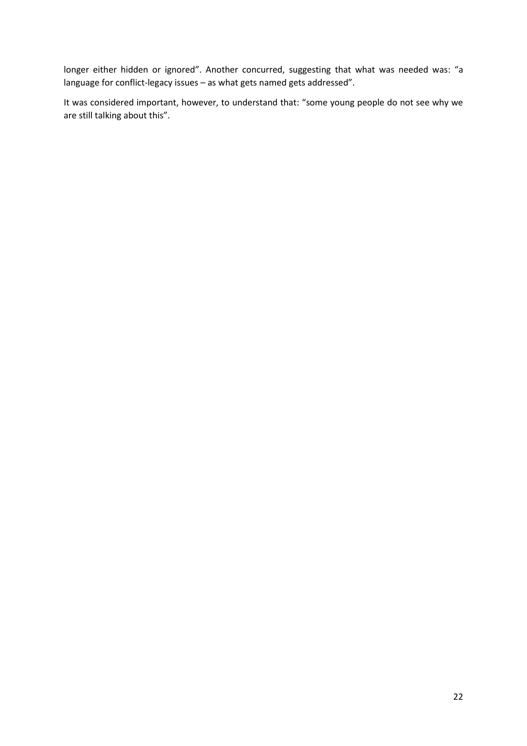longer either hidden or ignored". Another concurred, suggesting that what was needed was: "a language for conflict-legacy issues – as what gets named gets addressed".

It was considered important, however, to understand that: "some young people do not see why we are still talking about this".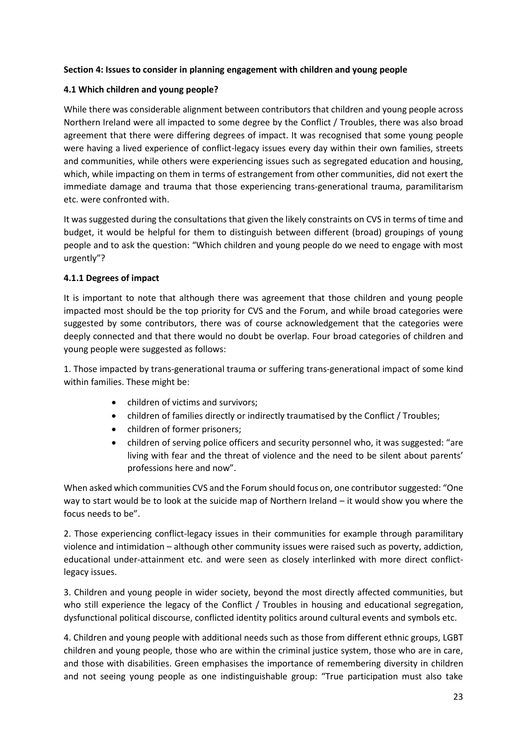# **Section 4: Issues to consider in planning engagement with children and young people**

#### **4.1 Which children and young people?**

While there was considerable alignment between contributors that children and young people across Northern Ireland were all impacted to some degree by the Conflict / Troubles, there was also broad agreement that there were differing degrees of impact. It was recognised that some young people were having a lived experience of conflict-legacy issues every day within their own families, streets and communities, while others were experiencing issues such as segregated education and housing, which, while impacting on them in terms of estrangement from other communities, did not exert the immediate damage and trauma that those experiencing trans-generational trauma, paramilitarism etc. were confronted with.

It was suggested during the consultations that given the likely constraints on CVS in terms of time and budget, it would be helpful for them to distinguish between different (broad) groupings of young people and to ask the question: "Which children and young people do we need to engage with most urgently"?

#### **4.1.1 Degrees of impact**

It is important to note that although there was agreement that those children and young people impacted most should be the top priority for CVS and the Forum, and while broad categories were suggested by some contributors, there was of course acknowledgement that the categories were deeply connected and that there would no doubt be overlap. Four broad categories of children and young people were suggested as follows:

1. Those impacted by trans-generational trauma or suffering trans-generational impact of some kind within families. These might be:

- children of victims and survivors;
- children of families directly or indirectly traumatised by the Conflict / Troubles;
- children of former prisoners;
- children of serving police officers and security personnel who, it was suggested: "are living with fear and the threat of violence and the need to be silent about parents' professions here and now".

When asked which communities CVS and the Forum should focus on, one contributor suggested: "One way to start would be to look at the suicide map of Northern Ireland – it would show you where the focus needs to be".

2. Those experiencing conflict-legacy issues in their communities for example through paramilitary violence and intimidation – although other community issues were raised such as poverty, addiction, educational under-attainment etc. and were seen as closely interlinked with more direct conflictlegacy issues.

3. Children and young people in wider society, beyond the most directly affected communities, but who still experience the legacy of the Conflict / Troubles in housing and educational segregation, dysfunctional political discourse, conflicted identity politics around cultural events and symbols etc.

4. Children and young people with additional needs such as those from different ethnic groups, LGBT children and young people, those who are within the criminal justice system, those who are in care, and those with disabilities. Green emphasises the importance of remembering diversity in children and not seeing young people as one indistinguishable group: "True participation must also take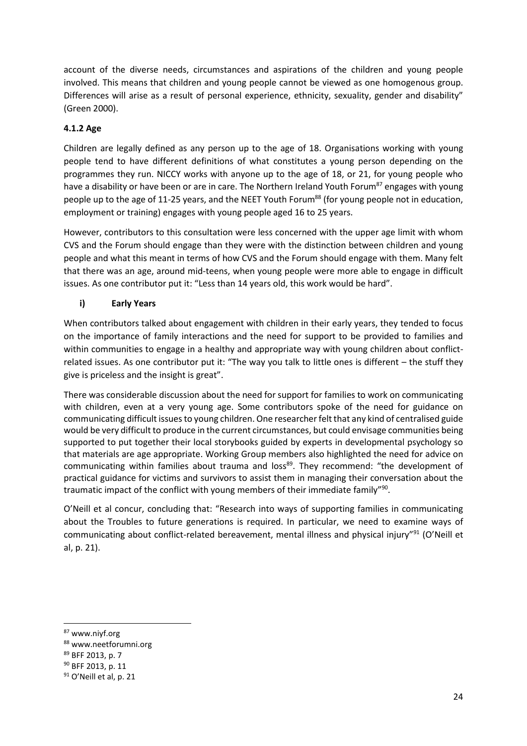account of the diverse needs, circumstances and aspirations of the children and young people involved. This means that children and young people cannot be viewed as one homogenous group. Differences will arise as a result of personal experience, ethnicity, sexuality, gender and disability" (Green 2000).

# **4.1.2 Age**

Children are legally defined as any person up to the age of 18. Organisations working with young people tend to have different definitions of what constitutes a young person depending on the programmes they run. NICCY works with anyone up to the age of 18, or 21, for young people who have a disability or have been or are in care. The Northern Ireland Youth Forum<sup>87</sup> engages with young people up to the age of 11-25 years, and the NEET Youth Forum<sup>88</sup> (for young people not in education, employment or training) engages with young people aged 16 to 25 years.

However, contributors to this consultation were less concerned with the upper age limit with whom CVS and the Forum should engage than they were with the distinction between children and young people and what this meant in terms of how CVS and the Forum should engage with them. Many felt that there was an age, around mid-teens, when young people were more able to engage in difficult issues. As one contributor put it: "Less than 14 years old, this work would be hard".

# **i) Early Years**

When contributors talked about engagement with children in their early years, they tended to focus on the importance of family interactions and the need for support to be provided to families and within communities to engage in a healthy and appropriate way with young children about conflictrelated issues. As one contributor put it: "The way you talk to little ones is different – the stuff they give is priceless and the insight is great".

There was considerable discussion about the need for support for families to work on communicating with children, even at a very young age. Some contributors spoke of the need for guidance on communicating difficult issues to young children. One researcher felt that any kind of centralised guide would be very difficult to produce in the current circumstances, but could envisage communities being supported to put together their local storybooks guided by experts in developmental psychology so that materials are age appropriate. Working Group members also highlighted the need for advice on communicating within families about trauma and loss<sup>89</sup>. They recommend: "the development of practical guidance for victims and survivors to assist them in managing their conversation about the traumatic impact of the conflict with young members of their immediate family"<sup>90</sup>.

O'Neill et al concur, concluding that: "Research into ways of supporting families in communicating about the Troubles to future generations is required. In particular, we need to examine ways of communicating about conflict-related bereavement, mental illness and physical injury"<sup>91</sup> (O'Neill et al, p. 21).

 $\overline{a}$ 

<sup>87</sup> www.niyf.org

<sup>88</sup> www.neetforumni.org

<sup>89</sup> BFF 2013, p. 7

<sup>90</sup> BFF 2013, p. 11

<sup>&</sup>lt;sup>91</sup> O'Neill et al, p. 21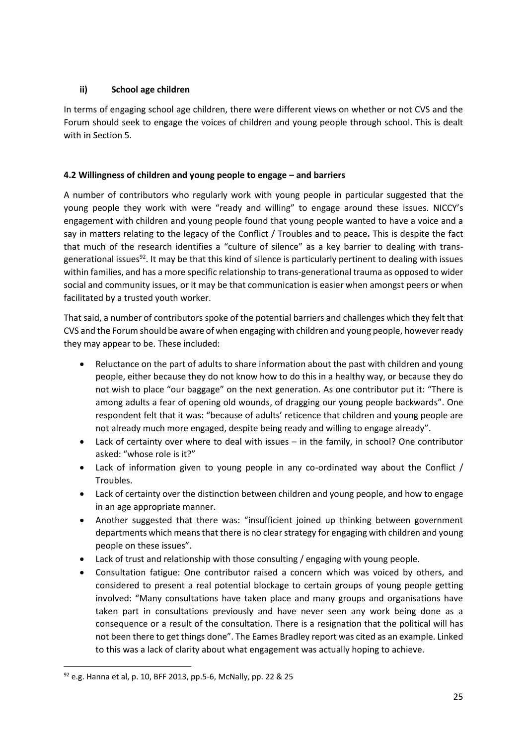# **ii) School age children**

In terms of engaging school age children, there were different views on whether or not CVS and the Forum should seek to engage the voices of children and young people through school. This is dealt with in Section 5.

# **4.2 Willingness of children and young people to engage – and barriers**

A number of contributors who regularly work with young people in particular suggested that the young people they work with were "ready and willing" to engage around these issues. NICCY's engagement with children and young people found that young people wanted to have a voice and a say in matters relating to the legacy of the Conflict / Troubles and to peace**.** This is despite the fact that much of the research identifies a "culture of silence" as a key barrier to dealing with transgenerational issues<sup>92</sup>. It may be that this kind of silence is particularly pertinent to dealing with issues within families, and has a more specific relationship to trans-generational trauma as opposed to wider social and community issues, or it may be that communication is easier when amongst peers or when facilitated by a trusted youth worker.

That said, a number of contributors spoke of the potential barriers and challenges which they felt that CVS and the Forum should be aware of when engaging with children and young people, however ready they may appear to be. These included:

- Reluctance on the part of adults to share information about the past with children and young people, either because they do not know how to do this in a healthy way, or because they do not wish to place "our baggage" on the next generation. As one contributor put it: "There is among adults a fear of opening old wounds, of dragging our young people backwards". One respondent felt that it was: "because of adults' reticence that children and young people are not already much more engaged, despite being ready and willing to engage already".
- Lack of certainty over where to deal with issues in the family, in school? One contributor asked: "whose role is it?"
- Lack of information given to young people in any co-ordinated way about the Conflict / Troubles.
- Lack of certainty over the distinction between children and young people, and how to engage in an age appropriate manner.
- Another suggested that there was: "insufficient joined up thinking between government departments which means that there is no clear strategy for engaging with children and young people on these issues".
- Lack of trust and relationship with those consulting / engaging with young people.
- Consultation fatigue: One contributor raised a concern which was voiced by others, and considered to present a real potential blockage to certain groups of young people getting involved: "Many consultations have taken place and many groups and organisations have taken part in consultations previously and have never seen any work being done as a consequence or a result of the consultation. There is a resignation that the political will has not been there to get things done". The Eames Bradley report was cited as an example. Linked to this was a lack of clarity about what engagement was actually hoping to achieve.

<sup>92</sup> e.g. Hanna et al, p. 10, BFF 2013, pp.5-6, McNally, pp. 22 & 25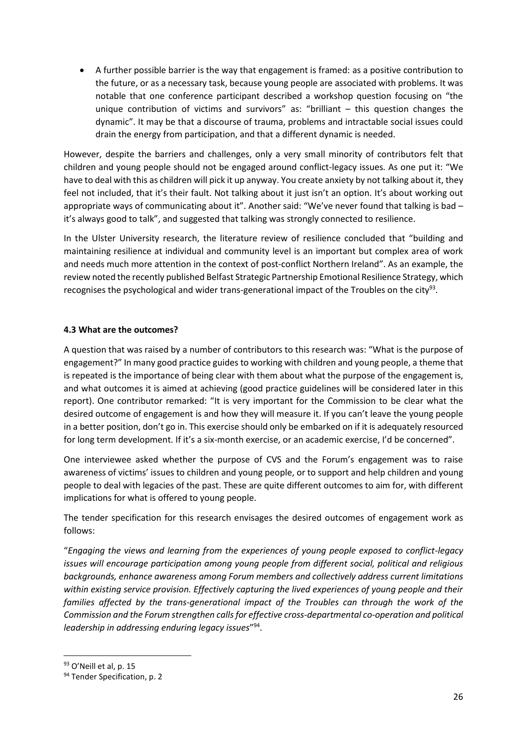A further possible barrier is the way that engagement is framed: as a positive contribution to the future, or as a necessary task, because young people are associated with problems. It was notable that one conference participant described a workshop question focusing on "the unique contribution of victims and survivors" as: "brilliant – this question changes the dynamic". It may be that a discourse of trauma, problems and intractable social issues could drain the energy from participation, and that a different dynamic is needed.

However, despite the barriers and challenges, only a very small minority of contributors felt that children and young people should not be engaged around conflict-legacy issues. As one put it: "We have to deal with this as children will pick it up anyway. You create anxiety by not talking about it, they feel not included, that it's their fault. Not talking about it just isn't an option. It's about working out appropriate ways of communicating about it". Another said: "We've never found that talking is bad – it's always good to talk", and suggested that talking was strongly connected to resilience.

In the Ulster University research, the literature review of resilience concluded that "building and maintaining resilience at individual and community level is an important but complex area of work and needs much more attention in the context of post-conflict Northern Ireland". As an example, the review noted the recently published Belfast Strategic Partnership Emotional Resilience Strategy, which recognises the psychological and wider trans-generational impact of the Troubles on the city<sup>93</sup>.

# **4.3 What are the outcomes?**

A question that was raised by a number of contributors to this research was: "What is the purpose of engagement?" In many good practice guides to working with children and young people, a theme that is repeated is the importance of being clear with them about what the purpose of the engagement is, and what outcomes it is aimed at achieving (good practice guidelines will be considered later in this report). One contributor remarked: "It is very important for the Commission to be clear what the desired outcome of engagement is and how they will measure it. If you can't leave the young people in a better position, don't go in. This exercise should only be embarked on if it is adequately resourced for long term development. If it's a six-month exercise, or an academic exercise, I'd be concerned".

One interviewee asked whether the purpose of CVS and the Forum's engagement was to raise awareness of victims' issues to children and young people, or to support and help children and young people to deal with legacies of the past. These are quite different outcomes to aim for, with different implications for what is offered to young people.

The tender specification for this research envisages the desired outcomes of engagement work as follows:

"*Engaging the views and learning from the experiences of young people exposed to conflict-legacy issues will encourage participation among young people from different social, political and religious backgrounds, enhance awareness among Forum members and collectively address current limitations within existing service provision. Effectively capturing the lived experiences of young people and their families affected by the trans-generational impact of the Troubles can through the work of the Commission and the Forum strengthen calls for effective cross-departmental co-operation and political*  leadership in addressing enduring legacy issues"<sup>94</sup>.

<sup>93</sup> O'Neill et al, p. 15

<sup>94</sup> Tender Specification, p. 2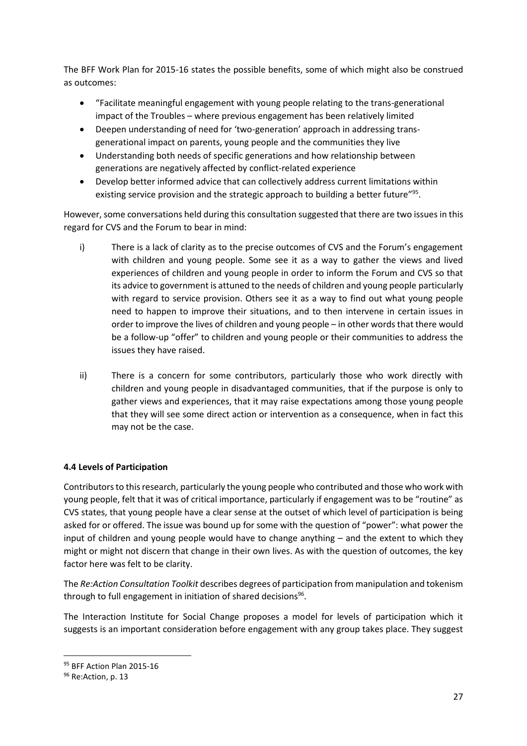The BFF Work Plan for 2015-16 states the possible benefits, some of which might also be construed as outcomes:

- "Facilitate meaningful engagement with young people relating to the trans-generational impact of the Troubles – where previous engagement has been relatively limited
- Deepen understanding of need for 'two-generation' approach in addressing transgenerational impact on parents, young people and the communities they live
- Understanding both needs of specific generations and how relationship between generations are negatively affected by conflict-related experience
- Develop better informed advice that can collectively address current limitations within existing service provision and the strategic approach to building a better future"<sup>95</sup>.

However, some conversations held during this consultation suggested that there are two issues in this regard for CVS and the Forum to bear in mind:

- i) There is a lack of clarity as to the precise outcomes of CVS and the Forum's engagement with children and young people. Some see it as a way to gather the views and lived experiences of children and young people in order to inform the Forum and CVS so that its advice to government is attuned to the needs of children and young people particularly with regard to service provision. Others see it as a way to find out what young people need to happen to improve their situations, and to then intervene in certain issues in order to improve the lives of children and young people – in other words that there would be a follow-up "offer" to children and young people or their communities to address the issues they have raised.
- ii) There is a concern for some contributors, particularly those who work directly with children and young people in disadvantaged communities, that if the purpose is only to gather views and experiences, that it may raise expectations among those young people that they will see some direct action or intervention as a consequence, when in fact this may not be the case.

# **4.4 Levels of Participation**

Contributors to this research, particularly the young people who contributed and those who work with young people, felt that it was of critical importance, particularly if engagement was to be "routine" as CVS states, that young people have a clear sense at the outset of which level of participation is being asked for or offered. The issue was bound up for some with the question of "power": what power the input of children and young people would have to change anything – and the extent to which they might or might not discern that change in their own lives. As with the question of outcomes, the key factor here was felt to be clarity.

The *Re:Action Consultation Toolkit* describes degrees of participation from manipulation and tokenism through to full engagement in initiation of shared decisions<sup>96</sup>.

The Interaction Institute for Social Change proposes a model for levels of participation which it suggests is an important consideration before engagement with any group takes place. They suggest

<sup>95</sup> BFF Action Plan 2015-16

<sup>&</sup>lt;sup>96</sup> Re:Action, p. 13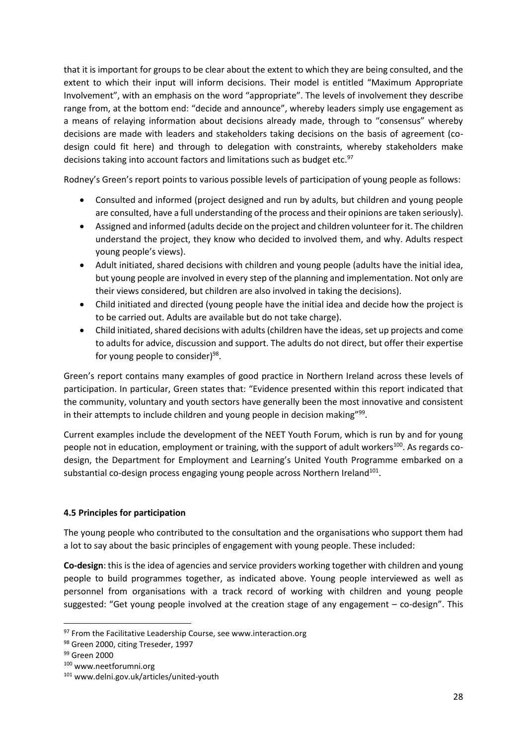that it is important for groups to be clear about the extent to which they are being consulted, and the extent to which their input will inform decisions. Their model is entitled "Maximum Appropriate Involvement", with an emphasis on the word "appropriate". The levels of involvement they describe range from, at the bottom end: "decide and announce", whereby leaders simply use engagement as a means of relaying information about decisions already made, through to "consensus" whereby decisions are made with leaders and stakeholders taking decisions on the basis of agreement (codesign could fit here) and through to delegation with constraints, whereby stakeholders make decisions taking into account factors and limitations such as budget etc.<sup>97</sup>

Rodney's Green's report points to various possible levels of participation of young people as follows:

- Consulted and informed (project designed and run by adults, but children and young people are consulted, have a full understanding of the process and their opinions are taken seriously).
- Assigned and informed (adults decide on the project and children volunteer for it. The children understand the project, they know who decided to involved them, and why. Adults respect young people's views).
- Adult initiated, shared decisions with children and young people (adults have the initial idea, but young people are involved in every step of the planning and implementation. Not only are their views considered, but children are also involved in taking the decisions).
- Child initiated and directed (young people have the initial idea and decide how the project is to be carried out. Adults are available but do not take charge).
- Child initiated, shared decisions with adults (children have the ideas, set up projects and come to adults for advice, discussion and support. The adults do not direct, but offer their expertise for young people to consider)<sup>98</sup>.

Green's report contains many examples of good practice in Northern Ireland across these levels of participation. In particular, Green states that: "Evidence presented within this report indicated that the community, voluntary and youth sectors have generally been the most innovative and consistent in their attempts to include children and young people in decision making"<sup>99</sup>.

Current examples include the development of the NEET Youth Forum, which is run by and for young people not in education, employment or training, with the support of adult workers<sup>100</sup>. As regards codesign, the Department for Employment and Learning's United Youth Programme embarked on a substantial co-design process engaging young people across Northern Ireland $^{101}$ .

# **4.5 Principles for participation**

The young people who contributed to the consultation and the organisations who support them had a lot to say about the basic principles of engagement with young people. These included:

**Co-design**: this is the idea of agencies and service providers working together with children and young people to build programmes together, as indicated above. Young people interviewed as well as personnel from organisations with a track record of working with children and young people suggested: "Get young people involved at the creation stage of any engagement – co-design". This

 $\overline{a}$ 

 $97$  From the Facilitative Leadership Course, see www.interaction.org

<sup>98</sup> Green 2000, citing Treseder, 1997

<sup>99</sup> Green 2000

<sup>100</sup> www.neetforumni.org

<sup>101</sup> www.delni.gov.uk/articles/united-youth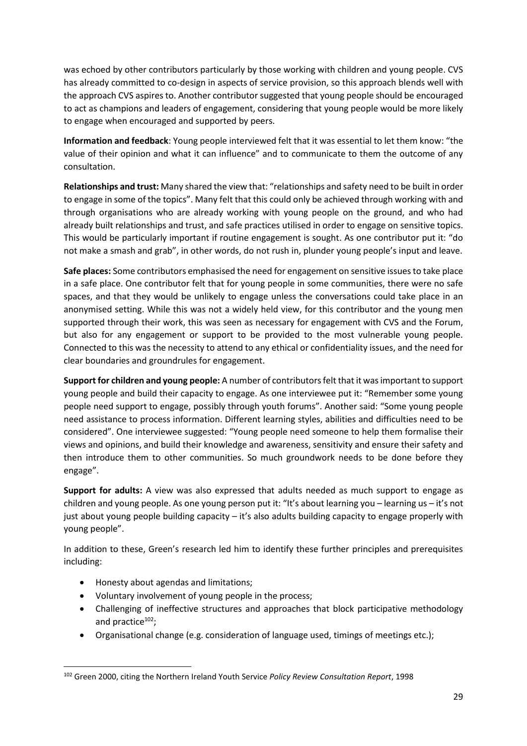was echoed by other contributors particularly by those working with children and young people. CVS has already committed to co-design in aspects of service provision, so this approach blends well with the approach CVS aspires to. Another contributor suggested that young people should be encouraged to act as champions and leaders of engagement, considering that young people would be more likely to engage when encouraged and supported by peers.

**Information and feedback**: Young people interviewed felt that it was essential to let them know: "the value of their opinion and what it can influence" and to communicate to them the outcome of any consultation.

**Relationships and trust:** Many shared the view that: "relationships and safety need to be built in order to engage in some of the topics". Many felt that this could only be achieved through working with and through organisations who are already working with young people on the ground, and who had already built relationships and trust, and safe practices utilised in order to engage on sensitive topics. This would be particularly important if routine engagement is sought. As one contributor put it: "do not make a smash and grab", in other words, do not rush in, plunder young people's input and leave.

**Safe places:** Some contributors emphasised the need for engagement on sensitive issues to take place in a safe place. One contributor felt that for young people in some communities, there were no safe spaces, and that they would be unlikely to engage unless the conversations could take place in an anonymised setting. While this was not a widely held view, for this contributor and the young men supported through their work, this was seen as necessary for engagement with CVS and the Forum, but also for any engagement or support to be provided to the most vulnerable young people. Connected to this was the necessity to attend to any ethical or confidentiality issues, and the need for clear boundaries and groundrules for engagement.

**Support for children and young people:** A number of contributors felt that it was important to support young people and build their capacity to engage. As one interviewee put it: "Remember some young people need support to engage, possibly through youth forums". Another said: "Some young people need assistance to process information. Different learning styles, abilities and difficulties need to be considered". One interviewee suggested: "Young people need someone to help them formalise their views and opinions, and build their knowledge and awareness, sensitivity and ensure their safety and then introduce them to other communities. So much groundwork needs to be done before they engage".

**Support for adults:** A view was also expressed that adults needed as much support to engage as children and young people. As one young person put it: "It's about learning you – learning us – it's not just about young people building capacity – it's also adults building capacity to engage properly with young people".

In addition to these, Green's research led him to identify these further principles and prerequisites including:

Honesty about agendas and limitations;

- Voluntary involvement of young people in the process;
- Challenging of ineffective structures and approaches that block participative methodology and practice $102$ ;
- Organisational change (e.g. consideration of language used, timings of meetings etc.);

<sup>102</sup> Green 2000, citing the Northern Ireland Youth Service *Policy Review Consultation Report*, 1998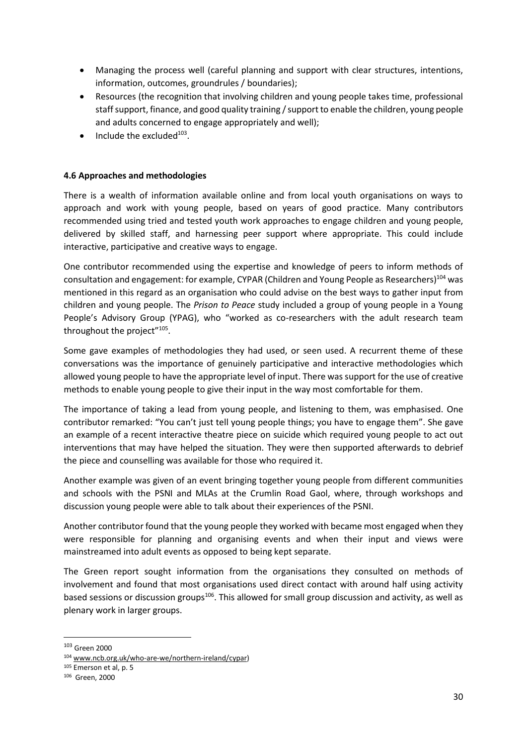- Managing the process well (careful planning and support with clear structures, intentions, information, outcomes, groundrules / boundaries);
- Resources (the recognition that involving children and young people takes time, professional staff support, finance, and good quality training / support to enable the children, young people and adults concerned to engage appropriately and well);
- $\bullet$  Include the excluded<sup>103</sup>.

# **4.6 Approaches and methodologies**

There is a wealth of information available online and from local youth organisations on ways to approach and work with young people, based on years of good practice. Many contributors recommended using tried and tested youth work approaches to engage children and young people, delivered by skilled staff, and harnessing peer support where appropriate. This could include interactive, participative and creative ways to engage.

One contributor recommended using the expertise and knowledge of peers to inform methods of consultation and engagement: for example, CYPAR (Children and Young People as Researchers)<sup>104</sup> was mentioned in this regard as an organisation who could advise on the best ways to gather input from children and young people. The *Prison to Peace* study included a group of young people in a Young People's Advisory Group (YPAG), who "worked as co-researchers with the adult research team throughout the project"<sup>105</sup>.

Some gave examples of methodologies they had used, or seen used. A recurrent theme of these conversations was the importance of genuinely participative and interactive methodologies which allowed young people to have the appropriate level of input. There was support for the use of creative methods to enable young people to give their input in the way most comfortable for them.

The importance of taking a lead from young people, and listening to them, was emphasised. One contributor remarked: "You can't just tell young people things; you have to engage them". She gave an example of a recent interactive theatre piece on suicide which required young people to act out interventions that may have helped the situation. They were then supported afterwards to debrief the piece and counselling was available for those who required it.

Another example was given of an event bringing together young people from different communities and schools with the PSNI and MLAs at the Crumlin Road Gaol, where, through workshops and discussion young people were able to talk about their experiences of the PSNI.

Another contributor found that the young people they worked with became most engaged when they were responsible for planning and organising events and when their input and views were mainstreamed into adult events as opposed to being kept separate.

The Green report sought information from the organisations they consulted on methods of involvement and found that most organisations used direct contact with around half using activity based sessions or discussion groups<sup>106</sup>. This allowed for small group discussion and activity, as well as plenary work in larger groups.

<sup>103</sup> Green 2000

<sup>104</sup> www.ncb.org.uk/who-are-we/northern-ireland/cypar)

<sup>105</sup> Emerson et al, p. 5

<sup>106</sup> Green, 2000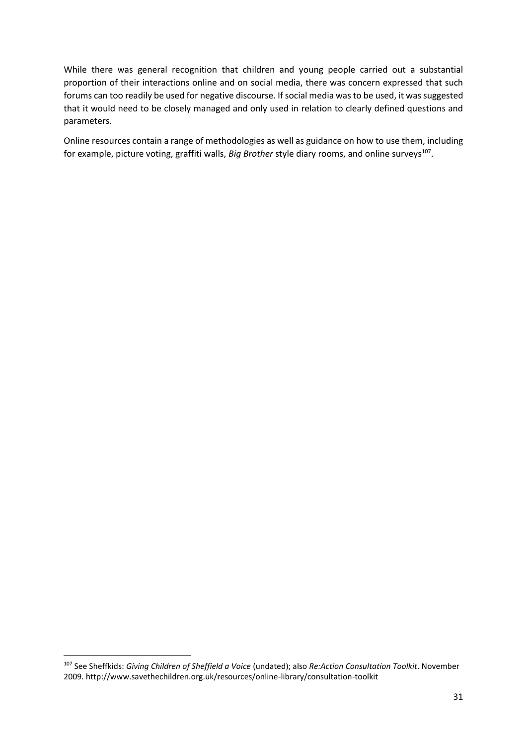While there was general recognition that children and young people carried out a substantial proportion of their interactions online and on social media, there was concern expressed that such forums can too readily be used for negative discourse. If social media was to be used, it was suggested that it would need to be closely managed and only used in relation to clearly defined questions and parameters.

Online resources contain a range of methodologies as well as guidance on how to use them, including for example, picture voting, graffiti walls, *Big Brother* style diary rooms, and online surveys<sup>107</sup>.

<sup>107</sup> See Sheffkids: *Giving Children of Sheffield a Voice* (undated); also *Re:Action Consultation Toolkit*. November 2009. http://www.savethechildren.org.uk/resources/online-library/consultation-toolkit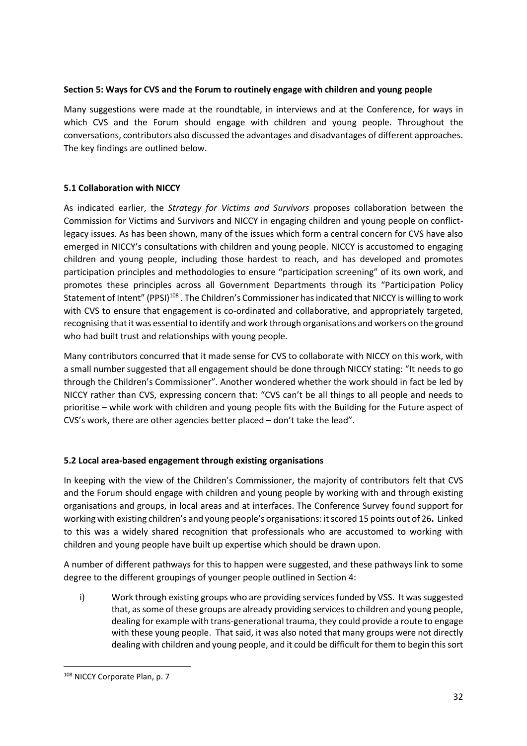#### **Section 5: Ways for CVS and the Forum to routinely engage with children and young people**

Many suggestions were made at the roundtable, in interviews and at the Conference, for ways in which CVS and the Forum should engage with children and young people. Throughout the conversations, contributors also discussed the advantages and disadvantages of different approaches. The key findings are outlined below.

# **5.1 Collaboration with NICCY**

As indicated earlier, the *Strategy for Victims and Survivors* proposes collaboration between the Commission for Victims and Survivors and NICCY in engaging children and young people on conflictlegacy issues. As has been shown, many of the issues which form a central concern for CVS have also emerged in NICCY's consultations with children and young people. NICCY is accustomed to engaging children and young people, including those hardest to reach, and has developed and promotes participation principles and methodologies to ensure "participation screening" of its own work, and promotes these principles across all Government Departments through its "Participation Policy Statement of Intent" (PPSI)<sup>108</sup>. The Children's Commissioner has indicated that NICCY is willing to work with CVS to ensure that engagement is co-ordinated and collaborative, and appropriately targeted, recognising that it was essential to identify and work through organisations and workers on the ground who had built trust and relationships with young people.

Many contributors concurred that it made sense for CVS to collaborate with NICCY on this work, with a small number suggested that all engagement should be done through NICCY stating: "It needs to go through the Children's Commissioner". Another wondered whether the work should in fact be led by NICCY rather than CVS, expressing concern that: "CVS can't be all things to all people and needs to prioritise – while work with children and young people fits with the Building for the Future aspect of CVS's work, there are other agencies better placed – don't take the lead".

# **5.2 Local area-based engagement through existing organisations**

In keeping with the view of the Children's Commissioner, the majority of contributors felt that CVS and the Forum should engage with children and young people by working with and through existing organisations and groups, in local areas and at interfaces. The Conference Survey found support for working with existing children's and young people's organisations: it scored 15 points out of 26**.** Linked to this was a widely shared recognition that professionals who are accustomed to working with children and young people have built up expertise which should be drawn upon.

A number of different pathways for this to happen were suggested, and these pathways link to some degree to the different groupings of younger people outlined in Section 4:

i) Work through existing groups who are providing services funded by VSS. It was suggested that, as some of these groups are already providing services to children and young people, dealing for example with trans-generational trauma, they could provide a route to engage with these young people. That said, it was also noted that many groups were not directly dealing with children and young people, and it could be difficult for them to begin this sort

<sup>108</sup> NICCY Corporate Plan, p. 7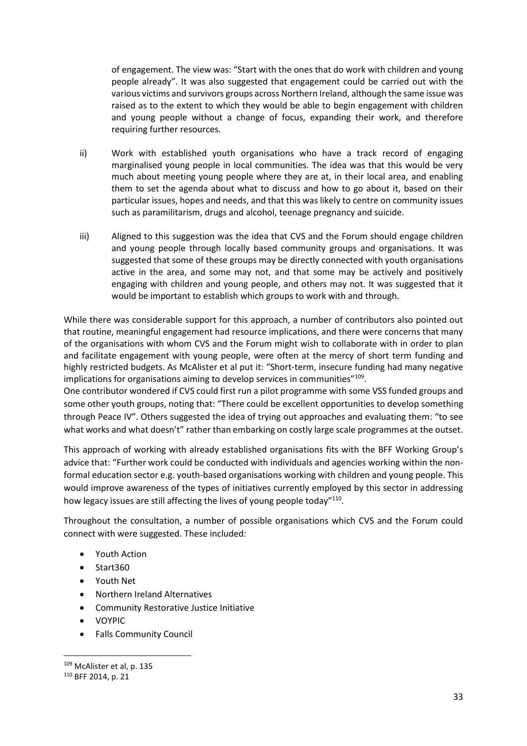of engagement. The view was: "Start with the ones that do work with children and young people already". It was also suggested that engagement could be carried out with the various victims and survivors groups across Northern Ireland, although the same issue was raised as to the extent to which they would be able to begin engagement with children and young people without a change of focus, expanding their work, and therefore requiring further resources.

- ii) Work with established youth organisations who have a track record of engaging marginalised young people in local communities. The idea was that this would be very much about meeting young people where they are at, in their local area, and enabling them to set the agenda about what to discuss and how to go about it, based on their particular issues, hopes and needs, and that this was likely to centre on community issues such as paramilitarism, drugs and alcohol, teenage pregnancy and suicide.
- iii) Aligned to this suggestion was the idea that CVS and the Forum should engage children and young people through locally based community groups and organisations. It was suggested that some of these groups may be directly connected with youth organisations active in the area, and some may not, and that some may be actively and positively engaging with children and young people, and others may not. It was suggested that it would be important to establish which groups to work with and through.

While there was considerable support for this approach, a number of contributors also pointed out that routine, meaningful engagement had resource implications, and there were concerns that many of the organisations with whom CVS and the Forum might wish to collaborate with in order to plan and facilitate engagement with young people, were often at the mercy of short term funding and highly restricted budgets. As McAlister et al put it: "Short-term, insecure funding had many negative implications for organisations aiming to develop services in communities"<sup>109</sup>.

One contributor wondered if CVS could first run a pilot programme with some VSS funded groups and some other youth groups, noting that: "There could be excellent opportunities to develop something through Peace IV". Others suggested the idea of trying out approaches and evaluating them: "to see what works and what doesn't" rather than embarking on costly large scale programmes at the outset.

This approach of working with already established organisations fits with the BFF Working Group's advice that: "Further work could be conducted with individuals and agencies working within the nonformal education sector e.g. youth-based organisations working with children and young people. This would improve awareness of the types of initiatives currently employed by this sector in addressing how legacy issues are still affecting the lives of young people today"<sup>110</sup>.

Throughout the consultation, a number of possible organisations which CVS and the Forum could connect with were suggested. These included:

- Youth Action
- Start360
- Youth Net
- Northern Ireland Alternatives
- Community Restorative Justice Initiative
- VOYPIC
- Falls Community Council

**<sup>.</sup>** <sup>109</sup> McAlister et al, p. 135

<sup>110</sup> BFF 2014, p. 21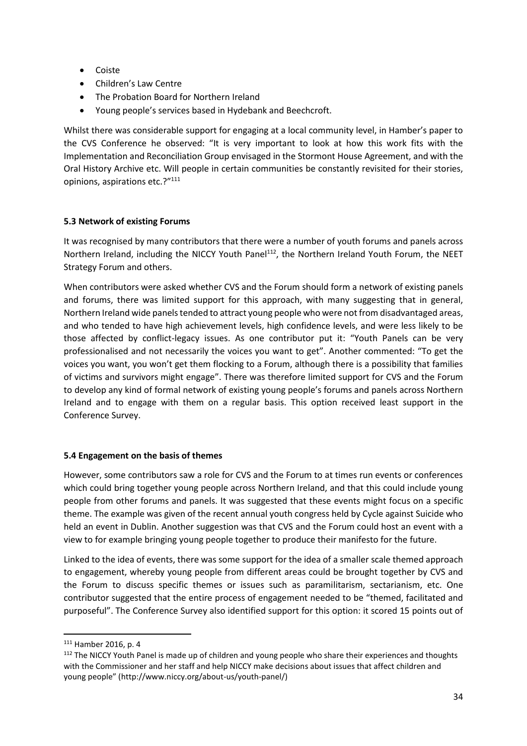- Coiste
- Children's Law Centre
- The Probation Board for Northern Ireland
- Young people's services based in Hydebank and Beechcroft.

Whilst there was considerable support for engaging at a local community level, in Hamber's paper to the CVS Conference he observed: "It is very important to look at how this work fits with the Implementation and Reconciliation Group envisaged in the Stormont House Agreement, and with the Oral History Archive etc. Will people in certain communities be constantly revisited for their stories, opinions, aspirations etc.?"<sup>111</sup>

# **5.3 Network of existing Forums**

It was recognised by many contributors that there were a number of youth forums and panels across Northern Ireland, including the NICCY Youth Panel<sup>112</sup>, the Northern Ireland Youth Forum, the NEET Strategy Forum and others.

When contributors were asked whether CVS and the Forum should form a network of existing panels and forums, there was limited support for this approach, with many suggesting that in general, Northern Ireland wide panels tended to attract young people who were not from disadvantaged areas, and who tended to have high achievement levels, high confidence levels, and were less likely to be those affected by conflict-legacy issues. As one contributor put it: "Youth Panels can be very professionalised and not necessarily the voices you want to get". Another commented: "To get the voices you want, you won't get them flocking to a Forum, although there is a possibility that families of victims and survivors might engage". There was therefore limited support for CVS and the Forum to develop any kind of formal network of existing young people's forums and panels across Northern Ireland and to engage with them on a regular basis. This option received least support in the Conference Survey.

#### **5.4 Engagement on the basis of themes**

However, some contributors saw a role for CVS and the Forum to at times run events or conferences which could bring together young people across Northern Ireland, and that this could include young people from other forums and panels. It was suggested that these events might focus on a specific theme. The example was given of the recent annual youth congress held by Cycle against Suicide who held an event in Dublin. Another suggestion was that CVS and the Forum could host an event with a view to for example bringing young people together to produce their manifesto for the future.

Linked to the idea of events, there was some support for the idea of a smaller scale themed approach to engagement, whereby young people from different areas could be brought together by CVS and the Forum to discuss specific themes or issues such as paramilitarism, sectarianism, etc. One contributor suggested that the entire process of engagement needed to be "themed, facilitated and purposeful". The Conference Survey also identified support for this option: it scored 15 points out of

<sup>111</sup> Hamber 2016, p. 4

<sup>&</sup>lt;sup>112</sup> The NICCY Youth Panel is made up of children and young people who share their experiences and thoughts with the Commissioner and her staff and help NICCY make decisions about issues that affect children and young people" (http://www.niccy.org/about-us/youth-panel/)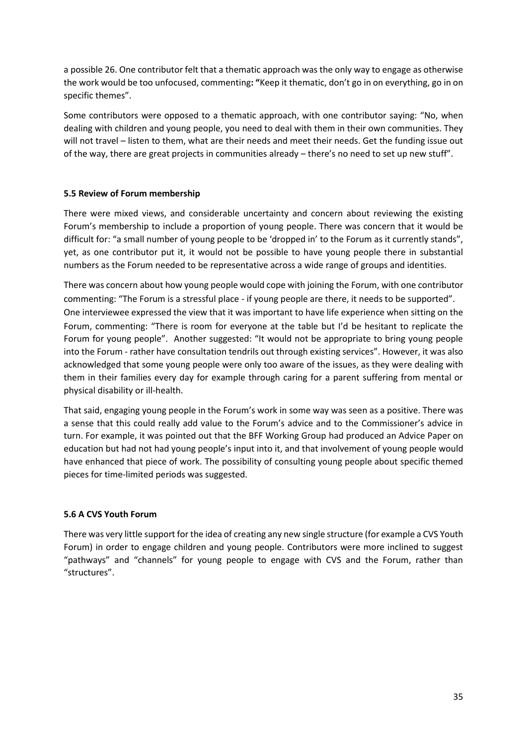a possible 26. One contributor felt that a thematic approach was the only way to engage as otherwise the work would be too unfocused, commenting**: "**Keep it thematic, don't go in on everything, go in on specific themes".

Some contributors were opposed to a thematic approach, with one contributor saying: "No, when dealing with children and young people, you need to deal with them in their own communities. They will not travel – listen to them, what are their needs and meet their needs. Get the funding issue out of the way, there are great projects in communities already – there's no need to set up new stuff".

# **5.5 Review of Forum membership**

There were mixed views, and considerable uncertainty and concern about reviewing the existing Forum's membership to include a proportion of young people. There was concern that it would be difficult for: "a small number of young people to be 'dropped in' to the Forum as it currently stands", yet, as one contributor put it, it would not be possible to have young people there in substantial numbers as the Forum needed to be representative across a wide range of groups and identities.

There was concern about how young people would cope with joining the Forum, with one contributor commenting: "The Forum is a stressful place - if young people are there, it needs to be supported". One interviewee expressed the view that it was important to have life experience when sitting on the Forum, commenting: "There is room for everyone at the table but I'd be hesitant to replicate the Forum for young people". Another suggested: "It would not be appropriate to bring young people into the Forum - rather have consultation tendrils out through existing services". However, it was also acknowledged that some young people were only too aware of the issues, as they were dealing with them in their families every day for example through caring for a parent suffering from mental or physical disability or ill-health.

That said, engaging young people in the Forum's work in some way was seen as a positive. There was a sense that this could really add value to the Forum's advice and to the Commissioner's advice in turn. For example, it was pointed out that the BFF Working Group had produced an Advice Paper on education but had not had young people's input into it, and that involvement of young people would have enhanced that piece of work. The possibility of consulting young people about specific themed pieces for time-limited periods was suggested.

#### **5.6 A CVS Youth Forum**

There was very little support for the idea of creating any new single structure (for example a CVS Youth Forum) in order to engage children and young people. Contributors were more inclined to suggest "pathways" and "channels" for young people to engage with CVS and the Forum, rather than "structures".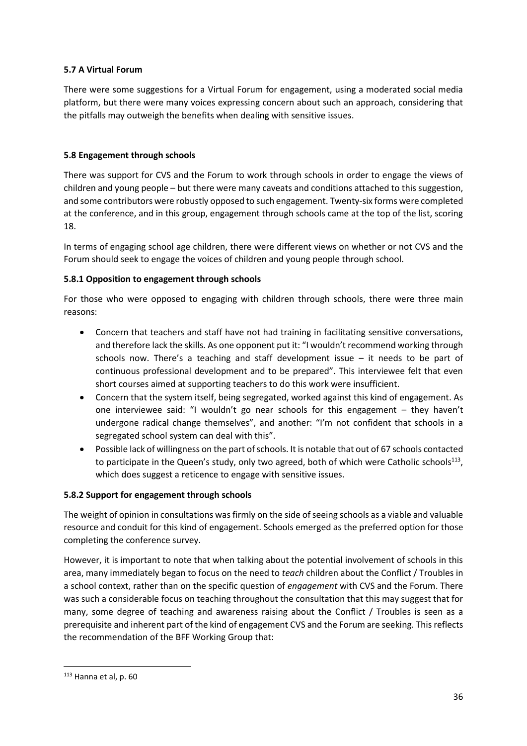# **5.7 A Virtual Forum**

There were some suggestions for a Virtual Forum for engagement, using a moderated social media platform, but there were many voices expressing concern about such an approach, considering that the pitfalls may outweigh the benefits when dealing with sensitive issues.

# **5.8 Engagement through schools**

There was support for CVS and the Forum to work through schools in order to engage the views of children and young people – but there were many caveats and conditions attached to this suggestion, and some contributors were robustly opposed to such engagement. Twenty-six forms were completed at the conference, and in this group, engagement through schools came at the top of the list, scoring 18.

In terms of engaging school age children, there were different views on whether or not CVS and the Forum should seek to engage the voices of children and young people through school.

# **5.8.1 Opposition to engagement through schools**

For those who were opposed to engaging with children through schools, there were three main reasons:

- Concern that teachers and staff have not had training in facilitating sensitive conversations, and therefore lack the skills. As one opponent put it: "I wouldn't recommend working through schools now. There's a teaching and staff development issue – it needs to be part of continuous professional development and to be prepared". This interviewee felt that even short courses aimed at supporting teachers to do this work were insufficient.
- Concern that the system itself, being segregated, worked against this kind of engagement. As one interviewee said: "I wouldn't go near schools for this engagement – they haven't undergone radical change themselves", and another: "I'm not confident that schools in a segregated school system can deal with this".
- Possible lack of willingness on the part of schools. It is notable that out of 67 schools contacted to participate in the Queen's study, only two agreed, both of which were Catholic schools<sup>113</sup>, which does suggest a reticence to engage with sensitive issues.

# **5.8.2 Support for engagement through schools**

The weight of opinion in consultations was firmly on the side of seeing schools as a viable and valuable resource and conduit for this kind of engagement. Schools emerged as the preferred option for those completing the conference survey.

However, it is important to note that when talking about the potential involvement of schools in this area, many immediately began to focus on the need to *teach* children about the Conflict / Troubles in a school context, rather than on the specific question of *engagement* with CVS and the Forum. There was such a considerable focus on teaching throughout the consultation that this may suggest that for many, some degree of teaching and awareness raising about the Conflict / Troubles is seen as a prerequisite and inherent part of the kind of engagement CVS and the Forum are seeking. This reflects the recommendation of the BFF Working Group that:

<sup>113</sup> Hanna et al, p. 60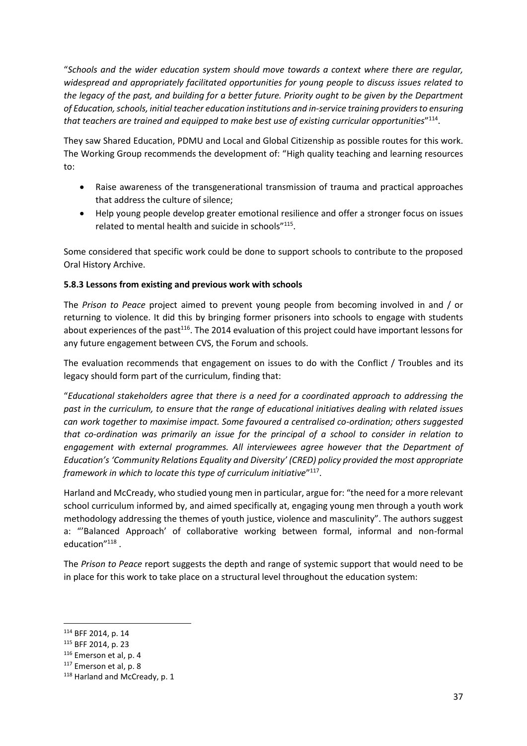"*Schools and the wider education system should move towards a context where there are regular, widespread and appropriately facilitated opportunities for young people to discuss issues related to the legacy of the past, and building for a better future. Priority ought to be given by the Department of Education, schools, initial teacher education institutions and in-service training providers to ensuring*  that teachers are trained and equipped to make best use of existing curricular opportunities"<sup>114</sup>.

They saw Shared Education, PDMU and Local and Global Citizenship as possible routes for this work. The Working Group recommends the development of: "High quality teaching and learning resources to:

- Raise awareness of the transgenerational transmission of trauma and practical approaches that address the culture of silence;
- Help young people develop greater emotional resilience and offer a stronger focus on issues related to mental health and suicide in schools"<sup>115</sup>.

Some considered that specific work could be done to support schools to contribute to the proposed Oral History Archive.

# **5.8.3 Lessons from existing and previous work with schools**

The *Prison to Peace* project aimed to prevent young people from becoming involved in and / or returning to violence. It did this by bringing former prisoners into schools to engage with students about experiences of the past<sup>116</sup>. The 2014 evaluation of this project could have important lessons for any future engagement between CVS, the Forum and schools.

The evaluation recommends that engagement on issues to do with the Conflict / Troubles and its legacy should form part of the curriculum, finding that:

"*Educational stakeholders agree that there is a need for a coordinated approach to addressing the past in the curriculum, to ensure that the range of educational initiatives dealing with related issues can work together to maximise impact. Some favoured a centralised co-ordination; others suggested that co-ordination was primarily an issue for the principal of a school to consider in relation to engagement with external programmes. All interviewees agree however that the Department of Education's 'Community Relations Equality and Diversity' (CRED) policy provided the most appropriate*  framework in which to locate this type of curriculum initiative<sup>"117</sup>.

Harland and McCready, who studied young men in particular, argue for: "the need for a more relevant school curriculum informed by, and aimed specifically at, engaging young men through a youth work methodology addressing the themes of youth justice, violence and masculinity". The authors suggest a: "'Balanced Approach' of collaborative working between formal, informal and non-formal education"<sup>118</sup>.

The *Prison to Peace* report suggests the depth and range of systemic support that would need to be in place for this work to take place on a structural level throughout the education system:

 $\overline{a}$ 

<sup>114</sup> BFF 2014, p. 14

<sup>115</sup> BFF 2014, p. 23

<sup>116</sup> Emerson et al, p. 4

<sup>117</sup> Emerson et al, p. 8

<sup>118</sup> Harland and McCready, p. 1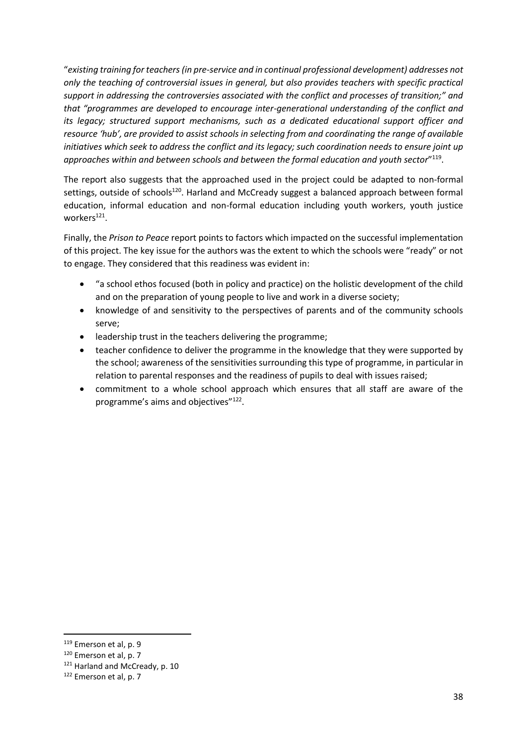"*existing training for teachers (in pre-service and in continual professional development) addresses not only the teaching of controversial issues in general, but also provides teachers with specific practical support in addressing the controversies associated with the conflict and processes of transition;" and that "programmes are developed to encourage inter-generational understanding of the conflict and its legacy; structured support mechanisms, such as a dedicated educational support officer and resource 'hub', are provided to assist schools in selecting from and coordinating the range of available initiatives which seek to address the conflict and its legacy; such coordination needs to ensure joint up approaches within and between schools and between the formal education and youth sector*" 119 .

The report also suggests that the approached used in the project could be adapted to non-formal settings, outside of schools<sup>120</sup>. Harland and McCready suggest a balanced approach between formal education, informal education and non-formal education including youth workers, youth justice workers<sup>121</sup>.

Finally, the *Prison to Peace* report points to factors which impacted on the successful implementation of this project. The key issue for the authors was the extent to which the schools were "ready" or not to engage. They considered that this readiness was evident in:

- "a school ethos focused (both in policy and practice) on the holistic development of the child and on the preparation of young people to live and work in a diverse society;
- knowledge of and sensitivity to the perspectives of parents and of the community schools serve;
- leadership trust in the teachers delivering the programme;
- teacher confidence to deliver the programme in the knowledge that they were supported by the school; awareness of the sensitivities surrounding this type of programme, in particular in relation to parental responses and the readiness of pupils to deal with issues raised;
- commitment to a whole school approach which ensures that all staff are aware of the programme's aims and objectives"<sup>122</sup>.

<sup>119</sup> Emerson et al, p. 9

<sup>120</sup> Emerson et al, p. 7

<sup>121</sup> Harland and McCready, p. 10

<sup>122</sup> Emerson et al, p. 7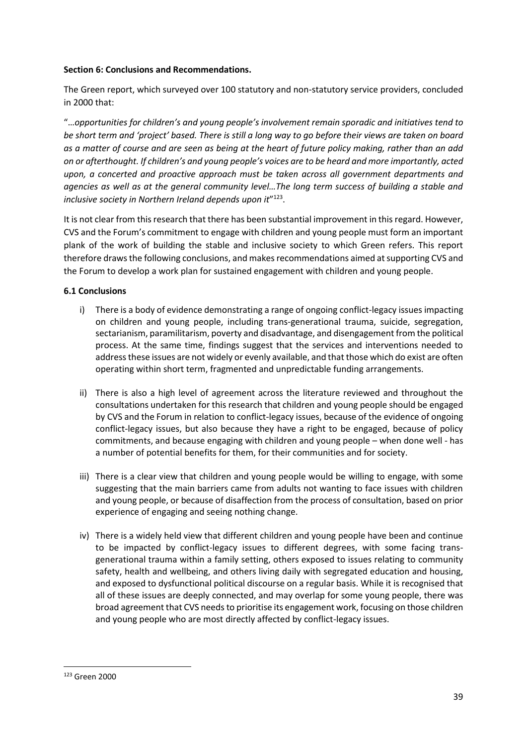#### **Section 6: Conclusions and Recommendations.**

The Green report, which surveyed over 100 statutory and non-statutory service providers, concluded in 2000 that:

"…*opportunities for children's and young people's involvement remain sporadic and initiatives tend to be short term and 'project' based. There is still a long way to go before their views are taken on board as a matter of course and are seen as being at the heart of future policy making, rather than an add on or afterthought. If children's and young people's voices are to be heard and more importantly, acted upon, a concerted and proactive approach must be taken across all government departments and agencies as well as at the general community level…The long term success of building a stable and*  inclusive society in Northern Ireland depends upon it<sup>"123</sup>.

It is not clear from this research that there has been substantial improvement in this regard. However, CVS and the Forum's commitment to engage with children and young people must form an important plank of the work of building the stable and inclusive society to which Green refers. This report therefore draws the following conclusions, and makes recommendations aimed at supporting CVS and the Forum to develop a work plan for sustained engagement with children and young people.

# **6.1 Conclusions**

- i) There is a body of evidence demonstrating a range of ongoing conflict-legacy issues impacting on children and young people, including trans-generational trauma, suicide, segregation, sectarianism, paramilitarism, poverty and disadvantage, and disengagement from the political process. At the same time, findings suggest that the services and interventions needed to address these issues are not widely or evenly available, and that those which do exist are often operating within short term, fragmented and unpredictable funding arrangements.
- ii) There is also a high level of agreement across the literature reviewed and throughout the consultations undertaken for this research that children and young people should be engaged by CVS and the Forum in relation to conflict-legacy issues, because of the evidence of ongoing conflict-legacy issues, but also because they have a right to be engaged, because of policy commitments, and because engaging with children and young people – when done well - has a number of potential benefits for them, for their communities and for society.
- iii) There is a clear view that children and young people would be willing to engage, with some suggesting that the main barriers came from adults not wanting to face issues with children and young people, or because of disaffection from the process of consultation, based on prior experience of engaging and seeing nothing change.
- iv) There is a widely held view that different children and young people have been and continue to be impacted by conflict-legacy issues to different degrees, with some facing transgenerational trauma within a family setting, others exposed to issues relating to community safety, health and wellbeing, and others living daily with segregated education and housing, and exposed to dysfunctional political discourse on a regular basis. While it is recognised that all of these issues are deeply connected, and may overlap for some young people, there was broad agreement that CVS needs to prioritise its engagement work, focusing on those children and young people who are most directly affected by conflict-legacy issues.

<sup>123</sup> Green 2000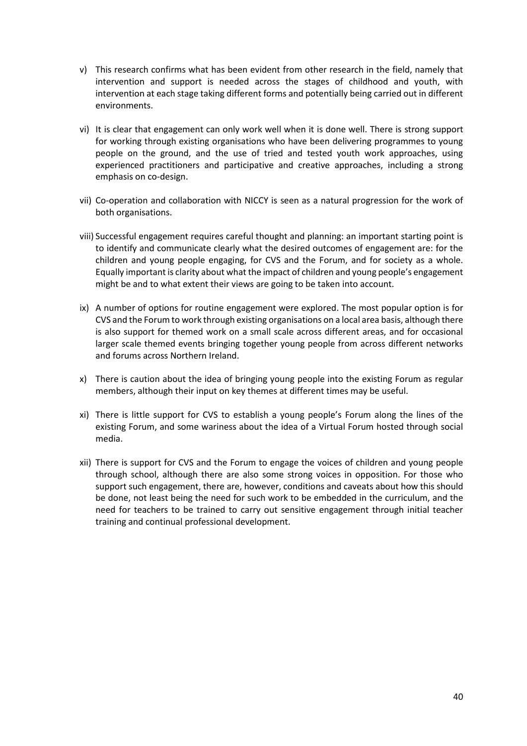- v) This research confirms what has been evident from other research in the field, namely that intervention and support is needed across the stages of childhood and youth, with intervention at each stage taking different forms and potentially being carried out in different environments.
- vi) It is clear that engagement can only work well when it is done well. There is strong support for working through existing organisations who have been delivering programmes to young people on the ground, and the use of tried and tested youth work approaches, using experienced practitioners and participative and creative approaches, including a strong emphasis on co-design.
- vii) Co-operation and collaboration with NICCY is seen as a natural progression for the work of both organisations.
- viii) Successful engagement requires careful thought and planning: an important starting point is to identify and communicate clearly what the desired outcomes of engagement are: for the children and young people engaging, for CVS and the Forum, and for society as a whole. Equally important is clarity about what the impact of children and young people's engagement might be and to what extent their views are going to be taken into account.
- ix) A number of options for routine engagement were explored. The most popular option is for CVS and the Forum to work through existing organisations on a local area basis, although there is also support for themed work on a small scale across different areas, and for occasional larger scale themed events bringing together young people from across different networks and forums across Northern Ireland.
- x) There is caution about the idea of bringing young people into the existing Forum as regular members, although their input on key themes at different times may be useful.
- xi) There is little support for CVS to establish a young people's Forum along the lines of the existing Forum, and some wariness about the idea of a Virtual Forum hosted through social media.
- xii) There is support for CVS and the Forum to engage the voices of children and young people through school, although there are also some strong voices in opposition. For those who support such engagement, there are, however, conditions and caveats about how this should be done, not least being the need for such work to be embedded in the curriculum, and the need for teachers to be trained to carry out sensitive engagement through initial teacher training and continual professional development.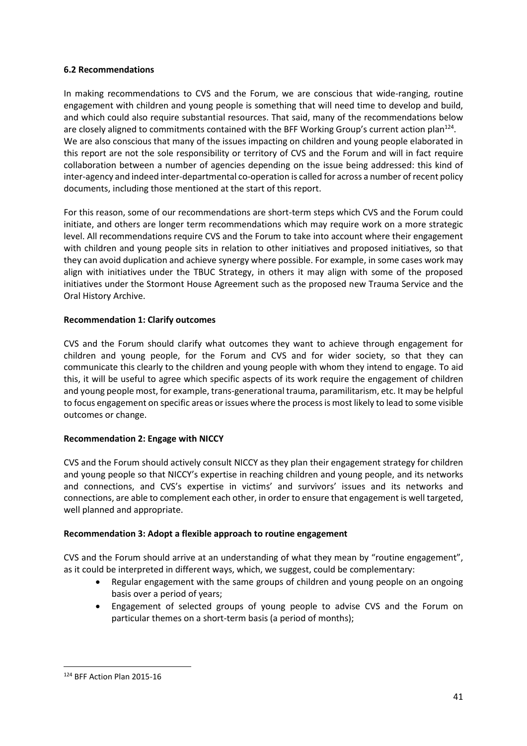#### **6.2 Recommendations**

In making recommendations to CVS and the Forum, we are conscious that wide-ranging, routine engagement with children and young people is something that will need time to develop and build, and which could also require substantial resources. That said, many of the recommendations below are closely aligned to commitments contained with the BFF Working Group's current action plan<sup>124</sup>. We are also conscious that many of the issues impacting on children and young people elaborated in this report are not the sole responsibility or territory of CVS and the Forum and will in fact require collaboration between a number of agencies depending on the issue being addressed: this kind of inter-agency and indeed inter-departmental co-operation is called for across a number of recent policy documents, including those mentioned at the start of this report.

For this reason, some of our recommendations are short-term steps which CVS and the Forum could initiate, and others are longer term recommendations which may require work on a more strategic level. All recommendations require CVS and the Forum to take into account where their engagement with children and young people sits in relation to other initiatives and proposed initiatives, so that they can avoid duplication and achieve synergy where possible. For example, in some cases work may align with initiatives under the TBUC Strategy, in others it may align with some of the proposed initiatives under the Stormont House Agreement such as the proposed new Trauma Service and the Oral History Archive.

# **Recommendation 1: Clarify outcomes**

CVS and the Forum should clarify what outcomes they want to achieve through engagement for children and young people, for the Forum and CVS and for wider society, so that they can communicate this clearly to the children and young people with whom they intend to engage. To aid this, it will be useful to agree which specific aspects of its work require the engagement of children and young people most, for example, trans-generational trauma, paramilitarism, etc. It may be helpful to focus engagement on specific areas or issues where the process is most likely to lead to some visible outcomes or change.

# **Recommendation 2: Engage with NICCY**

CVS and the Forum should actively consult NICCY as they plan their engagement strategy for children and young people so that NICCY's expertise in reaching children and young people, and its networks and connections, and CVS's expertise in victims' and survivors' issues and its networks and connections, are able to complement each other, in order to ensure that engagement is well targeted, well planned and appropriate.

# **Recommendation 3: Adopt a flexible approach to routine engagement**

CVS and the Forum should arrive at an understanding of what they mean by "routine engagement", as it could be interpreted in different ways, which, we suggest, could be complementary:

- Regular engagement with the same groups of children and young people on an ongoing basis over a period of years;
- Engagement of selected groups of young people to advise CVS and the Forum on particular themes on a short-term basis (a period of months);

**<sup>.</sup>** <sup>124</sup> BFF Action Plan 2015-16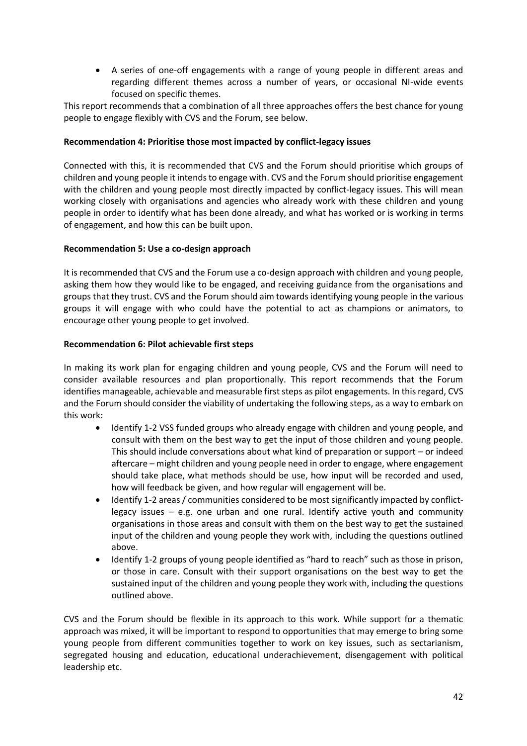A series of one-off engagements with a range of young people in different areas and regarding different themes across a number of years, or occasional NI-wide events focused on specific themes.

This report recommends that a combination of all three approaches offers the best chance for young people to engage flexibly with CVS and the Forum, see below.

#### **Recommendation 4: Prioritise those most impacted by conflict-legacy issues**

Connected with this, it is recommended that CVS and the Forum should prioritise which groups of children and young people it intends to engage with. CVS and the Forum should prioritise engagement with the children and young people most directly impacted by conflict-legacy issues. This will mean working closely with organisations and agencies who already work with these children and young people in order to identify what has been done already, and what has worked or is working in terms of engagement, and how this can be built upon.

#### **Recommendation 5: Use a co-design approach**

It is recommended that CVS and the Forum use a co-design approach with children and young people, asking them how they would like to be engaged, and receiving guidance from the organisations and groups that they trust. CVS and the Forum should aim towards identifying young people in the various groups it will engage with who could have the potential to act as champions or animators, to encourage other young people to get involved.

#### **Recommendation 6: Pilot achievable first steps**

In making its work plan for engaging children and young people, CVS and the Forum will need to consider available resources and plan proportionally. This report recommends that the Forum identifies manageable, achievable and measurable first steps as pilot engagements. In this regard, CVS and the Forum should consider the viability of undertaking the following steps, as a way to embark on this work:

- Identify 1-2 VSS funded groups who already engage with children and young people, and consult with them on the best way to get the input of those children and young people. This should include conversations about what kind of preparation or support – or indeed aftercare – might children and young people need in order to engage, where engagement should take place, what methods should be use, how input will be recorded and used, how will feedback be given, and how regular will engagement will be.
- Identify 1-2 areas / communities considered to be most significantly impacted by conflictlegacy issues  $-$  e.g. one urban and one rural. Identify active youth and community organisations in those areas and consult with them on the best way to get the sustained input of the children and young people they work with, including the questions outlined above.
- Identify 1-2 groups of young people identified as "hard to reach" such as those in prison, or those in care. Consult with their support organisations on the best way to get the sustained input of the children and young people they work with, including the questions outlined above.

CVS and the Forum should be flexible in its approach to this work. While support for a thematic approach was mixed, it will be important to respond to opportunities that may emerge to bring some young people from different communities together to work on key issues, such as sectarianism, segregated housing and education, educational underachievement, disengagement with political leadership etc.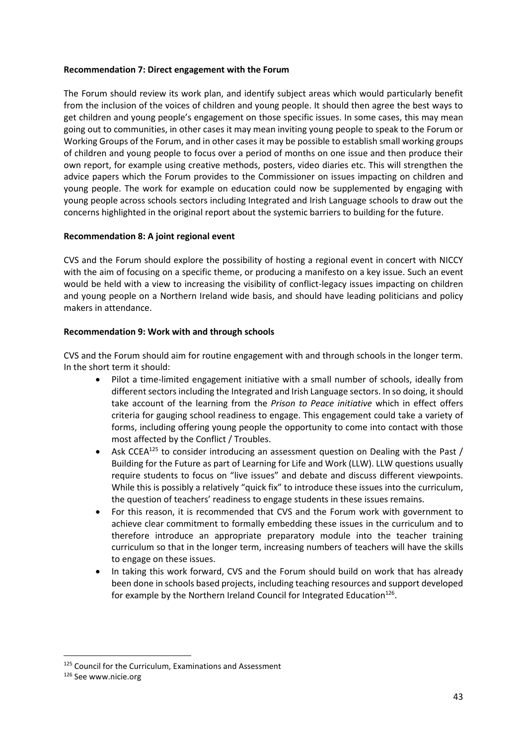#### **Recommendation 7: Direct engagement with the Forum**

The Forum should review its work plan, and identify subject areas which would particularly benefit from the inclusion of the voices of children and young people. It should then agree the best ways to get children and young people's engagement on those specific issues. In some cases, this may mean going out to communities, in other cases it may mean inviting young people to speak to the Forum or Working Groups of the Forum, and in other cases it may be possible to establish small working groups of children and young people to focus over a period of months on one issue and then produce their own report, for example using creative methods, posters, video diaries etc. This will strengthen the advice papers which the Forum provides to the Commissioner on issues impacting on children and young people. The work for example on education could now be supplemented by engaging with young people across schools sectors including Integrated and Irish Language schools to draw out the concerns highlighted in the original report about the systemic barriers to building for the future.

# **Recommendation 8: A joint regional event**

CVS and the Forum should explore the possibility of hosting a regional event in concert with NICCY with the aim of focusing on a specific theme, or producing a manifesto on a key issue. Such an event would be held with a view to increasing the visibility of conflict-legacy issues impacting on children and young people on a Northern Ireland wide basis, and should have leading politicians and policy makers in attendance.

#### **Recommendation 9: Work with and through schools**

CVS and the Forum should aim for routine engagement with and through schools in the longer term. In the short term it should:

- Pilot a time-limited engagement initiative with a small number of schools, ideally from different sectors including the Integrated and Irish Language sectors. In so doing, it should take account of the learning from the *Prison to Peace initiative* which in effect offers criteria for gauging school readiness to engage. This engagement could take a variety of forms, including offering young people the opportunity to come into contact with those most affected by the Conflict / Troubles.
- Ask CCEA<sup>125</sup> to consider introducing an assessment question on Dealing with the Past / Building for the Future as part of Learning for Life and Work (LLW). LLW questions usually require students to focus on "live issues" and debate and discuss different viewpoints. While this is possibly a relatively "quick fix" to introduce these issues into the curriculum, the question of teachers' readiness to engage students in these issues remains.
- For this reason, it is recommended that CVS and the Forum work with government to achieve clear commitment to formally embedding these issues in the curriculum and to therefore introduce an appropriate preparatory module into the teacher training curriculum so that in the longer term, increasing numbers of teachers will have the skills to engage on these issues.
- In taking this work forward, CVS and the Forum should build on work that has already been done in schools based projects, including teaching resources and support developed for example by the Northern Ireland Council for Integrated Education<sup>126</sup>.

<sup>125</sup> Council for the Curriculum, Examinations and Assessment

<sup>126</sup> See www.nicie.org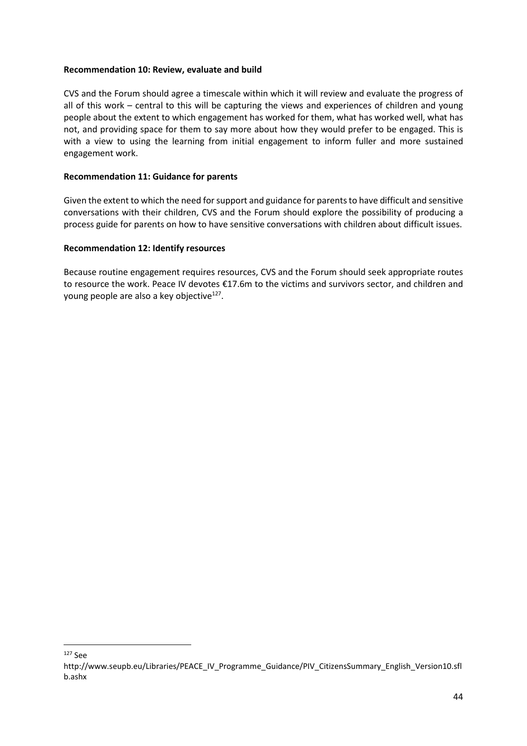#### **Recommendation 10: Review, evaluate and build**

CVS and the Forum should agree a timescale within which it will review and evaluate the progress of all of this work – central to this will be capturing the views and experiences of children and young people about the extent to which engagement has worked for them, what has worked well, what has not, and providing space for them to say more about how they would prefer to be engaged. This is with a view to using the learning from initial engagement to inform fuller and more sustained engagement work.

#### **Recommendation 11: Guidance for parents**

Given the extent to which the need for support and guidance for parents to have difficult and sensitive conversations with their children, CVS and the Forum should explore the possibility of producing a process guide for parents on how to have sensitive conversations with children about difficult issues.

#### **Recommendation 12: Identify resources**

Because routine engagement requires resources, CVS and the Forum should seek appropriate routes to resource the work. Peace IV devotes €17.6m to the victims and survivors sector, and children and young people are also a key objective<sup>127</sup>.

**.** <sup>127</sup> See

http://www.seupb.eu/Libraries/PEACE\_IV\_Programme\_Guidance/PIV\_CitizensSummary\_English\_Version10.sfl b.ashx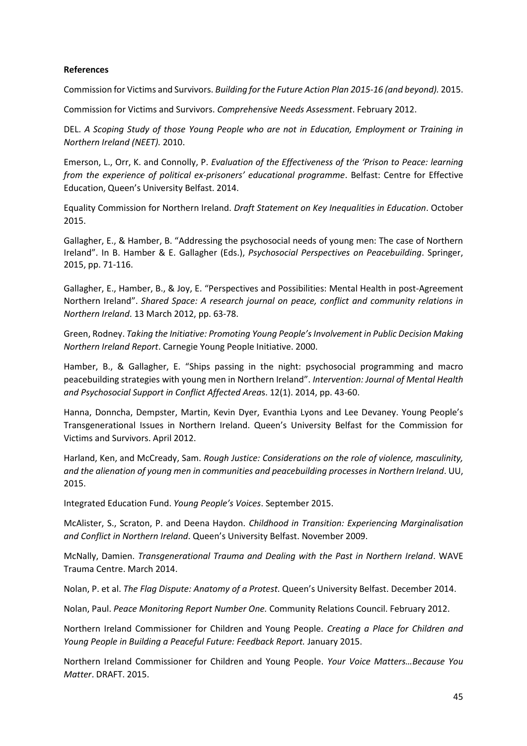#### **References**

Commission for Victims and Survivors. *Building for the Future Action Plan 2015-16 (and beyond).* 2015.

Commission for Victims and Survivors. *Comprehensive Needs Assessment*. February 2012.

DEL. *A Scoping Study of those Young People who are not in Education, Employment or Training in Northern Ireland (NEET).* 2010.

Emerson, L., Orr, K. and Connolly, P. *Evaluation of the Effectiveness of the 'Prison to Peace: learning from the experience of political ex-prisoners' educational programme*. Belfast: Centre for Effective Education, Queen's University Belfast. 2014.

Equality Commission for Northern Ireland. *Draft Statement on Key Inequalities in Education*. October 2015.

Gallagher, E., & Hamber, B. "Addressing the psychosocial needs of young men: The case of Northern Ireland". In B. Hamber & E. Gallagher (Eds.), *Psychosocial Perspectives on Peacebuilding*. Springer, 2015, pp. 71-116.

Gallagher, E., Hamber, B., & Joy, E. "Perspectives and Possibilities: Mental Health in post-Agreement Northern Ireland". *Shared Space: A research journal on peace, conflict and community relations in Northern Ireland*. 13 March 2012, pp. 63-78.

Green, Rodney. *Taking the Initiative: Promoting Young People's Involvement in Public Decision Making Northern Ireland Report*. Carnegie Young People Initiative. 2000.

Hamber, B., & Gallagher, E. "Ships passing in the night: psychosocial programming and macro peacebuilding strategies with young men in Northern Ireland". *Intervention: Journal of Mental Health and Psychosocial Support in Conflict Affected Area*s. 12(1). 2014, pp. 43-60.

Hanna, Donncha, Dempster, Martin, Kevin Dyer, Evanthia Lyons and Lee Devaney. Young People's Transgenerational Issues in Northern Ireland. Queen's University Belfast for the Commission for Victims and Survivors. April 2012.

Harland, Ken, and McCready, Sam. *Rough Justice: Considerations on the role of violence, masculinity, and the alienation of young men in communities and peacebuilding processes in Northern Ireland*. UU, 2015.

Integrated Education Fund. *Young People's Voices*. September 2015.

McAlister, S., Scraton, P. and Deena Haydon. *Childhood in Transition: Experiencing Marginalisation and Conflict in Northern Ireland*. Queen's University Belfast. November 2009.

McNally, Damien. *Transgenerational Trauma and Dealing with the Past in Northern Ireland*. WAVE Trauma Centre. March 2014.

Nolan, P. et al. *The Flag Dispute: Anatomy of a Protest*. Queen's University Belfast. December 2014.

Nolan, Paul. *Peace Monitoring Report Number One.* Community Relations Council. February 2012.

Northern Ireland Commissioner for Children and Young People. *Creating a Place for Children and Young People in Building a Peaceful Future: Feedback Report.* January 2015.

Northern Ireland Commissioner for Children and Young People. *Your Voice Matters…Because You Matter*. DRAFT. 2015.